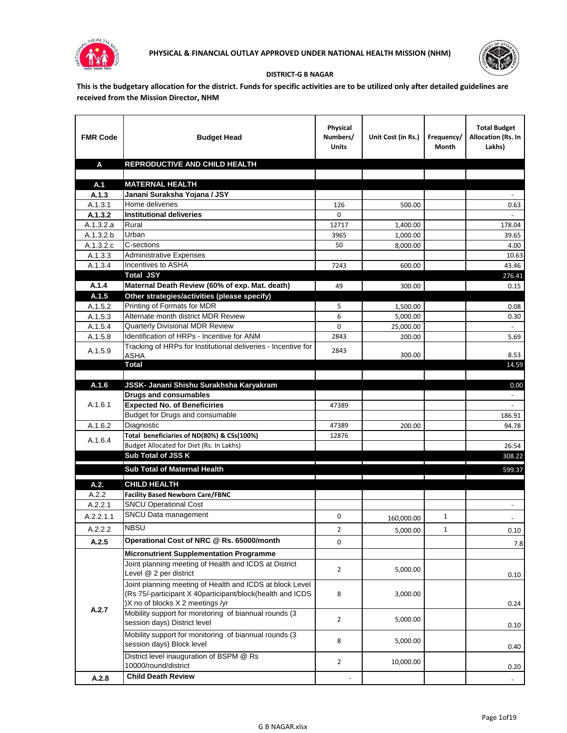



## **DISTRICT-G B NAGAR**

**This is the budgetary allocation for the district. Funds for specific activities are to be utilized only after detailed guidelines are received from the Mission Director, NHM**

| <b>FMR Code</b>      | <b>Budget Head</b>                                                                                      | Physical<br>Numbers/<br><b>Units</b> | Unit Cost (in Rs.) | Frequency/<br>Month | <b>Total Budget</b><br>Allocation (Rs. In<br>Lakhs) |
|----------------------|---------------------------------------------------------------------------------------------------------|--------------------------------------|--------------------|---------------------|-----------------------------------------------------|
| A                    | REPRODUCTIVE AND CHILD HEALTH                                                                           |                                      |                    |                     |                                                     |
|                      |                                                                                                         |                                      |                    |                     |                                                     |
| A.1                  | <b>MATERNAL HEALTH</b>                                                                                  |                                      |                    |                     |                                                     |
| A.1.3                | Janani Suraksha Yojana / JSY                                                                            |                                      |                    |                     |                                                     |
| A.1.3.1              | Home deliveries                                                                                         | 126                                  | 500.00             |                     | 0.63                                                |
| A.1.3.2              | <b>Institutional deliveries</b>                                                                         | 0                                    |                    |                     |                                                     |
| A.1.3.2.a            | Rural                                                                                                   | 12717                                | 1,400.00           |                     | 178.04                                              |
| A.1.3.2.b            | Urban<br>C-sections                                                                                     | 3965                                 | 1,000.00           |                     | 39.65                                               |
| A.1.3.2.c<br>A.1.3.3 | <b>Administrative Expenses</b>                                                                          | 50                                   | 8,000.00           |                     | 4.00                                                |
| A.1.3.4              | Incentives to ASHA                                                                                      | 7243                                 | 600.00             |                     | 10.63<br>43.46                                      |
|                      | <b>Total JSY</b>                                                                                        |                                      |                    |                     | 276.41                                              |
| A.1.4                | Maternal Death Review (60% of exp. Mat. death)                                                          | 49                                   | 300.00             |                     | 0.15                                                |
| A.1.5                | Other strategies/activities (please specify)                                                            |                                      |                    |                     |                                                     |
| A.1.5.2              | Printing of Formats for MDR                                                                             | 5                                    | 1.500.00           |                     | 0.08                                                |
| A.1.5.3              | Alternate month district MDR Review                                                                     | 6                                    | 5,000.00           |                     | 0.30                                                |
| A.1.5.4              | <b>Quarterly Divisional MDR Review</b>                                                                  | 0                                    | 25,000.00          |                     |                                                     |
| A.1.5.8              | Identification of HRPs - Incentive for ANM                                                              | 2843                                 | 200.00             |                     | 5.69                                                |
|                      | Tracking of HRPs for Institutional deliveries - Incentive for                                           |                                      |                    |                     |                                                     |
| A.1.5.9              | <b>ASHA</b>                                                                                             | 2843                                 | 300.00             |                     | 8.53                                                |
|                      | <b>Total</b>                                                                                            |                                      |                    |                     | 14.59                                               |
|                      |                                                                                                         |                                      |                    |                     |                                                     |
| A.1.6                | JSSK- Janani Shishu Surakhsha Karyakram                                                                 |                                      |                    |                     | 0.00                                                |
|                      | <b>Drugs and consumables</b>                                                                            |                                      |                    |                     |                                                     |
| A.1.6.1              | <b>Expected No. of Beneficiries</b>                                                                     | 47389                                |                    |                     | $\blacksquare$                                      |
|                      | Budget for Drugs and consumable                                                                         |                                      |                    |                     | 186.91                                              |
| A.1.6.2              | Diagnostic<br>Total beneficiaries of ND(80%) & CSs(100%)                                                | 47389<br>12876                       | 200.00             |                     | 94.78                                               |
| A.1.6.4              | Budget Allocated for Diet (Rs. In Lakhs)                                                                |                                      |                    |                     | 26.54                                               |
|                      | Sub Total of JSS K                                                                                      |                                      |                    |                     | 308.22                                              |
|                      |                                                                                                         |                                      |                    |                     |                                                     |
|                      | Sub Total of Maternal Health                                                                            |                                      |                    |                     | 599.37                                              |
| A.2.                 | <b>CHILD HEALTH</b>                                                                                     |                                      |                    |                     |                                                     |
| A.2.2                | <b>Facility Based Newborn Care/FBNC</b>                                                                 |                                      |                    |                     |                                                     |
| A.2.2.1              | <b>SNCU Operational Cost</b>                                                                            |                                      |                    |                     | $\blacksquare$                                      |
| A.2.2.1.1            | SNCU Data management                                                                                    | 0                                    | 160,000.00         | 1                   |                                                     |
| A.2.2.2              | <b>NBSU</b>                                                                                             | $\overline{2}$                       | 5,000.00           | 1                   | 0.10                                                |
| A.2.5                | Operational Cost of NRC @ Rs. 65000/month                                                               | 0                                    |                    |                     |                                                     |
|                      |                                                                                                         |                                      |                    |                     | 7.8                                                 |
|                      | <b>Micronutrient Supplementation Programme</b><br>Joint planning meeting of Health and ICDS at District |                                      |                    |                     |                                                     |
|                      | Level @ 2 per district                                                                                  | $\overline{2}$                       | 5,000.00           |                     |                                                     |
|                      | Joint planning meeting of Health and ICDS at block Level                                                |                                      |                    |                     | 0.10                                                |
|                      | (Rs 75/-participant X 40participant/block(health and ICDS                                               | 8                                    | 3,000.00           |                     |                                                     |
|                      | )X no of blocks X 2 meetings /yr                                                                        |                                      |                    |                     | 0.24                                                |
| A.2.7                | Mobility support for monitoring of biannual rounds (3                                                   |                                      |                    |                     |                                                     |
|                      | session days) District level                                                                            | $\overline{2}$                       | 5,000.00           |                     | 0.10                                                |
|                      | Mobility support for monitoring of biannual rounds (3                                                   |                                      |                    |                     |                                                     |
|                      | session days) Block level                                                                               | 8                                    | 5,000.00           |                     | 0.40                                                |
|                      | District level inauguration of BSPM @ Rs                                                                |                                      |                    |                     |                                                     |
|                      | 10000/round/district                                                                                    | $\overline{2}$                       | 10,000.00          |                     | 0.20                                                |
| A.2.8                | <b>Child Death Review</b>                                                                               |                                      |                    |                     | $\overline{\phantom{a}}$                            |
|                      |                                                                                                         |                                      |                    |                     |                                                     |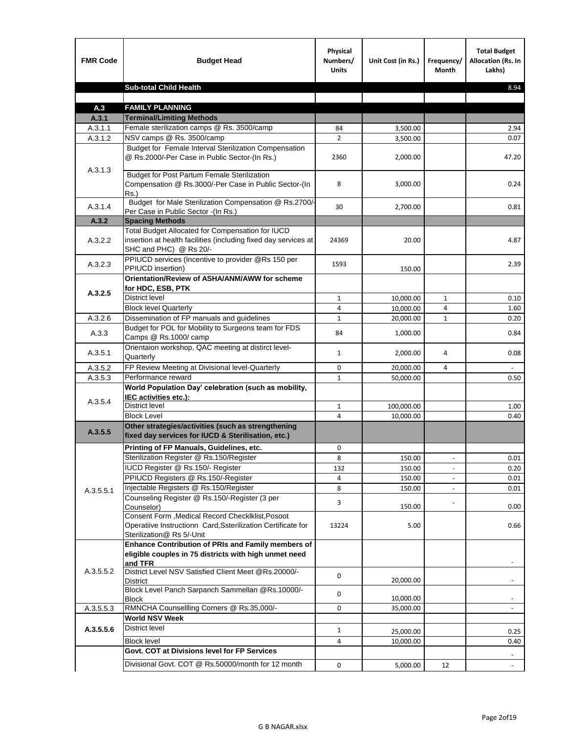| <b>FMR Code</b>    | <b>Budget Head</b>                                                                                                                             | Physical<br>Numbers/<br><b>Units</b> | Unit Cost (in Rs.)   | Frequency/<br>Month      | <b>Total Budget</b><br><b>Allocation (Rs. In</b><br>Lakhs) |
|--------------------|------------------------------------------------------------------------------------------------------------------------------------------------|--------------------------------------|----------------------|--------------------------|------------------------------------------------------------|
|                    | <b>Sub-total Child Health</b>                                                                                                                  |                                      |                      |                          | 8.94                                                       |
|                    |                                                                                                                                                |                                      |                      |                          |                                                            |
| A.3                | <b>FAMILY PLANNING</b>                                                                                                                         |                                      |                      |                          |                                                            |
| A.3.1              | <b>Terminal/Limiting Methods</b><br>Female sterilization camps @ Rs. 3500/camp                                                                 | 84                                   |                      |                          | 2.94                                                       |
| A.3.1.1<br>A.3.1.2 | NSV camps @ Rs. 3500/camp                                                                                                                      | $\overline{2}$                       | 3,500.00<br>3,500.00 |                          | 0.07                                                       |
|                    | Budget for Female Interval Sterilization Compensation<br>@ Rs.2000/-Per Case in Public Sector-(In Rs.)                                         | 2360                                 | 2,000.00             |                          | 47.20                                                      |
| A.3.1.3            | <b>Budget for Post Partum Female Sterilization</b><br>Compensation @ Rs.3000/-Per Case in Public Sector-(In<br>$Rs.$ )                         | 8                                    | 3,000.00             |                          | 0.24                                                       |
| A.3.1.4            | Budget for Male Sterilization Compensation @ Rs.2700/-<br>Per Case in Public Sector -(In Rs.)                                                  | 30                                   | 2,700.00             |                          | 0.81                                                       |
| A.3.2              | <b>Spacing Methods</b>                                                                                                                         |                                      |                      |                          |                                                            |
| A.3.2.2            | Total Budget Allocated for Compensation for IUCD<br>insertion at health facilities (including fixed day services at<br>SHC and PHC) @ Rs 20/-  | 24369                                | 20.00                |                          | 4.87                                                       |
| A.3.2.3            | PPIUCD services (Incentive to provider @Rs 150 per<br>PPIUCD insertion)                                                                        | 1593                                 | 150.00               |                          | 2.39                                                       |
| A.3.2.5            | Orientation/Review of ASHA/ANM/AWW for scheme<br>for HDC, ESB, PTK                                                                             |                                      |                      |                          |                                                            |
|                    | <b>District level</b>                                                                                                                          | $\mathbf{1}$                         | 10,000.00            | $\mathbf{1}$             | 0.10                                                       |
|                    | <b>Block level Quarterly</b>                                                                                                                   | 4                                    | 10,000.00            | 4                        | 1.60                                                       |
| A.3.2.6            | Dissemination of FP manuals and guidelines                                                                                                     | $\mathbf{1}$                         | 20,000.00            | $\mathbf{1}$             | 0.20                                                       |
| A.3.3              | Budget for POL for Mobility to Surgeons team for FDS<br>Camps @ Rs.1000/camp                                                                   | 84                                   | 1,000.00             |                          | 0.84                                                       |
| A.3.5.1            | Orientaion workshop, QAC meeting at distirct level-<br>Quarterly                                                                               | $\mathbf{1}$                         | 2,000.00             | 4                        | 0.08                                                       |
| A.3.5.2            | FP Review Meeting at Divisional level-Quarterly                                                                                                | 0                                    | 20,000.00            | 4                        |                                                            |
| A.3.5.3            | Performance reward                                                                                                                             | $\mathbf{1}$                         | 50,000.00            |                          | 0.50                                                       |
| A.3.5.4            | World Population Day' celebration (such as mobility,<br>IEC activities etc.):                                                                  |                                      |                      |                          |                                                            |
|                    | District level                                                                                                                                 | $\mathbf{1}$                         | 100,000.00           |                          | 1.00                                                       |
|                    | <b>Block Level</b>                                                                                                                             | 4                                    | 10.000.00            |                          | 0.40                                                       |
| A.3.5.5            | Other strategies/activities (such as strengthening<br>fixed day services for IUCD & Sterilisation, etc.)                                       |                                      |                      |                          |                                                            |
|                    | Printing of FP Manuals, Guidelines, etc.                                                                                                       | 0                                    |                      |                          |                                                            |
|                    | Sterilization Register @ Rs.150/Register                                                                                                       | 8                                    | 150.00               | $\overline{\phantom{a}}$ | 0.01                                                       |
|                    | IUCD Register @ Rs.150/- Register                                                                                                              | 132                                  | 150.00               |                          | 0.20                                                       |
|                    | PPIUCD Registers @ Rs.150/-Register                                                                                                            | 4                                    | 150.00               |                          | 0.01                                                       |
| A.3.5.5.1          | Injectable Registers @ Rs.150/Register                                                                                                         | 8                                    | 150.00               |                          | 0.01                                                       |
|                    | Counseling Register @ Rs.150/-Register (3 per<br>Counselor)                                                                                    | 3                                    | 150.00               |                          | 0.00                                                       |
|                    | Consent Form , Medical Record CheckIklist, Posoot<br>Operatiive Instructionn Card, Ssterilization Certificate for<br>Sterilization@ Rs 5/-Unit | 13224                                | 5.00                 |                          | 0.66                                                       |
|                    | Enhance Contribution of PRIs and Family members of<br>eligible couples in 75 districts with high unmet need<br>and TFR                         |                                      |                      |                          |                                                            |
| A.3.5.5.2          | District Level NSV Satisfied Client Meet @Rs.20000/-<br>District                                                                               | 0                                    | 20,000.00            |                          |                                                            |
|                    | Block Level Panch Sarpanch Sammellan @Rs.10000/-<br>Block                                                                                      | 0                                    | 10,000.00            |                          |                                                            |
| A.3.5.5.3          | RMNCHA Counsellling Corners @ Rs.35,000/-                                                                                                      | 0                                    | 35,000.00            |                          |                                                            |
|                    | <b>World NSV Week</b>                                                                                                                          |                                      |                      |                          |                                                            |
| A.3.5.5.6          | District level                                                                                                                                 | $\mathbf{1}$                         | 25,000.00            |                          | 0.25                                                       |
|                    | <b>Block level</b>                                                                                                                             | 4                                    | 10,000.00            |                          | 0.40                                                       |
|                    | Govt. COT at Divisions level for FP Services                                                                                                   |                                      |                      |                          |                                                            |
|                    | Divisional Govt. COT @ Rs.50000/month for 12 month                                                                                             | 0                                    | 5,000.00             | 12                       | $\blacksquare$                                             |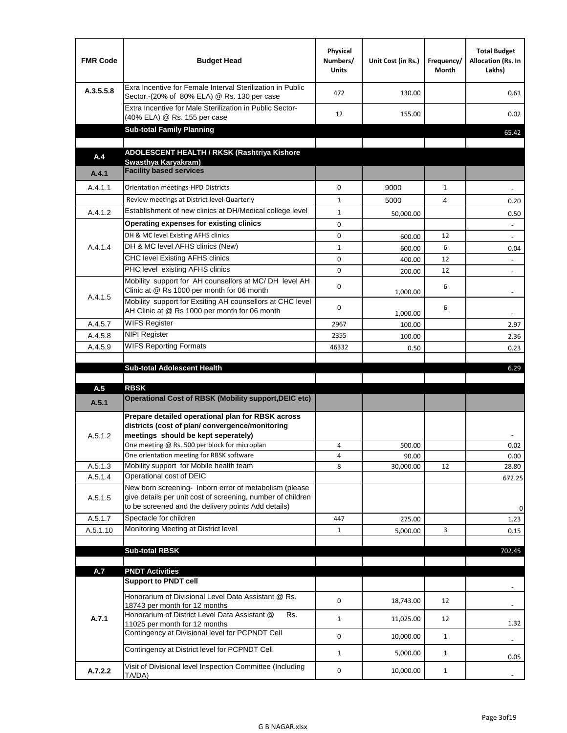| Exra Incentive for Female Interval Sterilization in Public<br>A.3.5.5.8<br>472<br>130.00<br>Sector.-(20% of 80% ELA) @ Rs. 130 per case<br>Extra Incentive for Male Sterilization in Public Sector-<br>12<br>155.00<br>(40% ELA) @ Rs. 155 per case<br><b>Sub-total Family Planning</b><br>ADOLESCENT HEALTH / RKSK (Rashtriya Kishore<br>A.4<br>Swasthya Karyakram)<br><b>Facility based services</b><br>A.4.1<br>A.4.1.1<br>0<br>9000<br>1<br>Orientation meetings-HPD Districts<br>Review meetings at District level-Quarterly<br>4<br>$\mathbf{1}$<br>5000<br>Establishment of new clinics at DH/Medical college level<br>A.4.1.2<br>$\mathbf{1}$<br>50,000.00<br>Operating expenses for existing clinics<br>0 | 0.61<br>0.02<br>65.42            |
|--------------------------------------------------------------------------------------------------------------------------------------------------------------------------------------------------------------------------------------------------------------------------------------------------------------------------------------------------------------------------------------------------------------------------------------------------------------------------------------------------------------------------------------------------------------------------------------------------------------------------------------------------------------------------------------------------------------------|----------------------------------|
|                                                                                                                                                                                                                                                                                                                                                                                                                                                                                                                                                                                                                                                                                                                    |                                  |
|                                                                                                                                                                                                                                                                                                                                                                                                                                                                                                                                                                                                                                                                                                                    |                                  |
|                                                                                                                                                                                                                                                                                                                                                                                                                                                                                                                                                                                                                                                                                                                    |                                  |
|                                                                                                                                                                                                                                                                                                                                                                                                                                                                                                                                                                                                                                                                                                                    |                                  |
|                                                                                                                                                                                                                                                                                                                                                                                                                                                                                                                                                                                                                                                                                                                    |                                  |
|                                                                                                                                                                                                                                                                                                                                                                                                                                                                                                                                                                                                                                                                                                                    |                                  |
|                                                                                                                                                                                                                                                                                                                                                                                                                                                                                                                                                                                                                                                                                                                    |                                  |
|                                                                                                                                                                                                                                                                                                                                                                                                                                                                                                                                                                                                                                                                                                                    | 0.20                             |
|                                                                                                                                                                                                                                                                                                                                                                                                                                                                                                                                                                                                                                                                                                                    | 0.50                             |
|                                                                                                                                                                                                                                                                                                                                                                                                                                                                                                                                                                                                                                                                                                                    |                                  |
| DH & MC level Existing AFHS clinics<br>0<br>12<br>600.00                                                                                                                                                                                                                                                                                                                                                                                                                                                                                                                                                                                                                                                           |                                  |
| DH & MC level AFHS clinics (New)<br>A.4.1.4<br>6<br>$\mathbf{1}$<br>600.00                                                                                                                                                                                                                                                                                                                                                                                                                                                                                                                                                                                                                                         | 0.04                             |
| CHC level Existing AFHS clinics<br>0<br>12<br>400.00                                                                                                                                                                                                                                                                                                                                                                                                                                                                                                                                                                                                                                                               |                                  |
| PHC level existing AFHS clinics<br>0<br>12<br>200.00                                                                                                                                                                                                                                                                                                                                                                                                                                                                                                                                                                                                                                                               | $\overline{\phantom{a}}$         |
| Mobility support for AH counsellors at MC/DH level AH<br>6<br>0<br>Clinic at @ Rs 1000 per month for 06 month<br>1,000.00<br>A.4.1.5                                                                                                                                                                                                                                                                                                                                                                                                                                                                                                                                                                               |                                  |
| Mobility support for Exsiting AH counsellors at CHC level<br>0<br>6<br>AH Clinic at @ Rs 1000 per month for 06 month<br>1,000.00                                                                                                                                                                                                                                                                                                                                                                                                                                                                                                                                                                                   | $\overline{\phantom{a}}$         |
| <b>WIFS Register</b><br>A.4.5.7<br>2967<br>100.00                                                                                                                                                                                                                                                                                                                                                                                                                                                                                                                                                                                                                                                                  | 2.97                             |
| <b>NIPI Register</b><br>A.4.5.8<br>2355<br>100.00                                                                                                                                                                                                                                                                                                                                                                                                                                                                                                                                                                                                                                                                  | 2.36                             |
| <b>WIFS Reporting Formats</b><br>A.4.5.9<br>46332<br>0.50                                                                                                                                                                                                                                                                                                                                                                                                                                                                                                                                                                                                                                                          | 0.23                             |
| <b>Sub-total Adolescent Health</b>                                                                                                                                                                                                                                                                                                                                                                                                                                                                                                                                                                                                                                                                                 | 6.29                             |
| <b>RBSK</b><br>A.5                                                                                                                                                                                                                                                                                                                                                                                                                                                                                                                                                                                                                                                                                                 |                                  |
| <b>Operational Cost of RBSK (Mobility support, DEIC etc)</b><br>A.5.1                                                                                                                                                                                                                                                                                                                                                                                                                                                                                                                                                                                                                                              |                                  |
| Prepare detailed operational plan for RBSK across<br>districts (cost of plan/convergence/monitoring<br>meetings should be kept seperately)<br>A.5.1.2                                                                                                                                                                                                                                                                                                                                                                                                                                                                                                                                                              |                                  |
| One meeting @ Rs. 500 per block for microplan<br>4<br>500.00<br>One orientation meeting for RBSK software<br>4<br>90.00                                                                                                                                                                                                                                                                                                                                                                                                                                                                                                                                                                                            | 0.02<br>$0.00\,$                 |
| Mobility support for Mobile health team<br>A.5.1.3<br>8<br>30,000.00<br>12                                                                                                                                                                                                                                                                                                                                                                                                                                                                                                                                                                                                                                         | 28.80                            |
| Operational cost of DEIC<br>A.5.1.4                                                                                                                                                                                                                                                                                                                                                                                                                                                                                                                                                                                                                                                                                | 672.25                           |
| New born screening- Inborn error of metabolism (please<br>give details per unit cost of screening, number of children<br>A.5.1.5<br>to be screened and the delivery points Add details)                                                                                                                                                                                                                                                                                                                                                                                                                                                                                                                            | 0                                |
| Spectacle for children<br>A.5.1.7<br>447<br>275.00                                                                                                                                                                                                                                                                                                                                                                                                                                                                                                                                                                                                                                                                 | 1.23                             |
| Monitoring Meeting at District level<br>A.5.1.10<br>3<br>$\mathbf{1}$<br>5,000.00                                                                                                                                                                                                                                                                                                                                                                                                                                                                                                                                                                                                                                  | 0.15                             |
|                                                                                                                                                                                                                                                                                                                                                                                                                                                                                                                                                                                                                                                                                                                    |                                  |
| <b>Sub-total RBSK</b>                                                                                                                                                                                                                                                                                                                                                                                                                                                                                                                                                                                                                                                                                              | 702.45                           |
|                                                                                                                                                                                                                                                                                                                                                                                                                                                                                                                                                                                                                                                                                                                    |                                  |
|                                                                                                                                                                                                                                                                                                                                                                                                                                                                                                                                                                                                                                                                                                                    |                                  |
| A.7<br><b>PNDT Activities</b><br><b>Support to PNDT cell</b>                                                                                                                                                                                                                                                                                                                                                                                                                                                                                                                                                                                                                                                       |                                  |
| Honorarium of Divisional Level Data Assistant @ Rs.<br>0<br>18,743.00<br>12<br>18743 per month for 12 months                                                                                                                                                                                                                                                                                                                                                                                                                                                                                                                                                                                                       |                                  |
| Honorarium of District Level Data Assistant @<br>Rs.<br>A.7.1<br>$\mathbf{1}$<br>12<br>11,025.00                                                                                                                                                                                                                                                                                                                                                                                                                                                                                                                                                                                                                   |                                  |
| 11025 per month for 12 months<br>Contingency at Divisional level for PCPNDT Cell<br>0<br>$\mathbf{1}$<br>10,000.00                                                                                                                                                                                                                                                                                                                                                                                                                                                                                                                                                                                                 | 1.32<br>$\overline{\phantom{a}}$ |
| Contingency at District level for PCPNDT Cell<br>$\mathbf{1}$<br>5,000.00<br>$\mathbf{1}$                                                                                                                                                                                                                                                                                                                                                                                                                                                                                                                                                                                                                          | 0.05                             |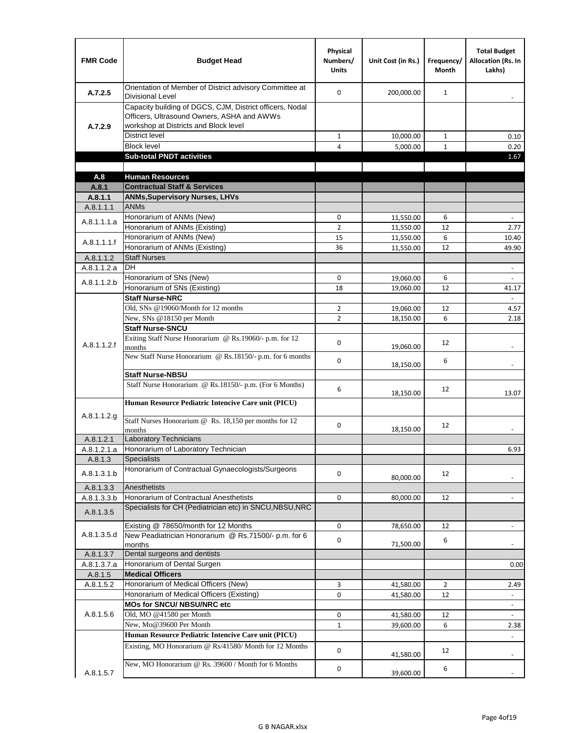| <b>FMR Code</b> | <b>Budget Head</b>                                                                                                                              | Physical<br>Numbers/<br><b>Units</b> | Unit Cost (in Rs.) | Frequency/<br><b>Month</b> | <b>Total Budget</b><br><b>Allocation (Rs. In</b><br>Lakhs) |
|-----------------|-------------------------------------------------------------------------------------------------------------------------------------------------|--------------------------------------|--------------------|----------------------------|------------------------------------------------------------|
| A.7.2.5         | Orientation of Member of District advisory Committee at<br><b>Divisional Level</b>                                                              | $\Omega$                             | 200,000.00         | $\mathbf{1}$               | $\overline{\phantom{m}}$                                   |
| A.7.2.9         | Capacity building of DGCS, CJM, District officers, Nodal<br>Officers, Ultrasound Owners, ASHA and AWWs<br>workshop at Districts and Block level |                                      |                    |                            |                                                            |
|                 | <b>District level</b>                                                                                                                           | $\mathbf{1}$                         | 10,000.00          | $\mathbf{1}$               | 0.10                                                       |
|                 | <b>Block level</b>                                                                                                                              | 4                                    | 5,000.00           | $\mathbf{1}$               | 0.20                                                       |
|                 | <b>Sub-total PNDT activities</b>                                                                                                                |                                      |                    |                            | 1.67                                                       |
|                 |                                                                                                                                                 |                                      |                    |                            |                                                            |
| A.8             | <b>Human Resources</b>                                                                                                                          |                                      |                    |                            |                                                            |
| A.8.1           | <b>Contractual Staff &amp; Services</b>                                                                                                         |                                      |                    |                            |                                                            |
| A.8.1.1         | <b>ANMs, Supervisory Nurses, LHVs</b>                                                                                                           |                                      |                    |                            |                                                            |
| A.8.1.1.1       | <b>ANMs</b>                                                                                                                                     |                                      |                    |                            |                                                            |
| A.8.1.1.1.a     | Honorarium of ANMs (New)                                                                                                                        | 0                                    | 11,550.00          | 6                          | ä,                                                         |
|                 | Honorarium of ANMs (Existing)                                                                                                                   | $\overline{2}$                       | 11,550.00          | 12                         | 2.77                                                       |
| A.8.1.1.1.f     | Honorarium of ANMs (New)                                                                                                                        | 15                                   | 11,550.00          | 6                          | 10.40                                                      |
|                 | Honorarium of ANMs (Existing)                                                                                                                   | 36                                   | 11,550.00          | 12                         | 49.90                                                      |
| A.8.1.1.2       | <b>Staff Nurses</b>                                                                                                                             |                                      |                    |                            |                                                            |
| A.8.1.1.2.a     | <b>DH</b>                                                                                                                                       |                                      |                    |                            | $\blacksquare$                                             |
| A.8.1.1.2.b     | Honorarium of SNs (New)                                                                                                                         | 0                                    | 19,060.00          | 6                          |                                                            |
|                 | Honorarium of SNs (Existing)                                                                                                                    | 18                                   | 19.060.00          | 12                         | 41.17                                                      |
|                 | <b>Staff Nurse-NRC</b>                                                                                                                          |                                      |                    |                            | $\mathbf{r}$                                               |
|                 | Old, SNs @19060/Month for 12 months                                                                                                             | $\overline{2}$                       | 19,060.00          | 12                         | 4.57                                                       |
|                 | New, SNs @18150 per Month                                                                                                                       | $\overline{2}$                       | 18,150.00          | 6                          | 2.18                                                       |
|                 | <b>Staff Nurse-SNCU</b>                                                                                                                         |                                      |                    |                            |                                                            |
| A.8.1.1.2.f     | Exiting Staff Nurse Honorarium @ Rs.19060/- p.m. for 12<br>months                                                                               | $\Omega$                             | 19,060.00          | 12                         | $\overline{\phantom{a}}$                                   |
|                 | New Staff Nurse Honorarium @ Rs.18150/- p.m. for 6 months                                                                                       | 0                                    | 18,150.00          | 6                          |                                                            |
|                 | <b>Staff Nurse-NBSU</b>                                                                                                                         |                                      |                    |                            |                                                            |
|                 | Staff Nurse Honorarium @ Rs.18150/- p.m. (For 6 Months)                                                                                         | 6                                    | 18,150.00          | 12                         | 13.07                                                      |
|                 | Human Resource Pediatric Intencive Care unit (PICU)                                                                                             |                                      |                    |                            |                                                            |
| A.8.1.1.2.g     | Staff Nurses Honorarium @ Rs. 18,150 per months for 12                                                                                          | 0                                    |                    | 12                         |                                                            |
|                 | months                                                                                                                                          |                                      | 18,150.00          |                            |                                                            |
| A.8.1.2.1       | <b>Laboratory Technicians</b>                                                                                                                   |                                      |                    |                            |                                                            |
| A.8.1.2.1.a     | Honorarium of Laboratory Technician                                                                                                             |                                      |                    |                            | 6.93                                                       |
| A.8.1.3         | <b>Specialists</b>                                                                                                                              |                                      |                    |                            |                                                            |
| A.8.1.3.1.b     | Honorarium of Contractual Gynaecologists/Surgeons                                                                                               | $\mathbf 0$                          | 80,000.00          | 12                         |                                                            |
| A.8.1.3.3       | Anesthetists                                                                                                                                    |                                      |                    |                            |                                                            |
| A.8.1.3.3.b     | Honorarium of Contractual Anesthetists                                                                                                          | 0                                    | 80,000.00          | 12                         |                                                            |
| A.8.1.3.5       | Specialists for CH (Pediatrician etc) in SNCU, NBSU, NRC                                                                                        |                                      |                    |                            |                                                            |
|                 | Existing @ 78650/month for 12 Months                                                                                                            | 0                                    | 78,650.00          | 12                         | ÷.                                                         |
| A.8.1.3.5.d     | New Peadiatrician Honorarium @ Rs.71500/- p.m. for 6<br>months                                                                                  | 0                                    | 71,500.00          | 6                          |                                                            |
| A.8.1.3.7       | Dental surgeons and dentists                                                                                                                    |                                      |                    |                            |                                                            |
| A.8.1.3.7.a     | Honorarium of Dental Surgen                                                                                                                     |                                      |                    |                            | 0.00                                                       |
| A.8.1.5         | <b>Medical Officers</b>                                                                                                                         |                                      |                    |                            |                                                            |
| A.8.1.5.2       | Honorarium of Medical Officers (New)                                                                                                            | 3                                    | 41,580.00          | $\overline{2}$             | 2.49                                                       |
|                 | Honorarium of Medical Officers (Existing)                                                                                                       | 0                                    | 41,580.00          | 12                         |                                                            |
|                 | MOs for SNCU/ NBSU/NRC etc                                                                                                                      |                                      |                    |                            |                                                            |
| A.8.1.5.6       | Old, MO @41580 per Month                                                                                                                        | 0                                    | 41,580.00          | 12                         | $\blacksquare$                                             |
|                 | New, Mo@39600 Per Month                                                                                                                         | $\mathbf{1}$                         | 39,600.00          | 6                          | 2.38                                                       |
|                 | Human Resource Pediatric Intencive Care unit (PICU)                                                                                             |                                      |                    |                            |                                                            |
|                 | Existing, MO Honorarium @ Rs/41580/ Month for 12 Months                                                                                         | $\mathbf 0$                          | 41,580.00          | 12                         |                                                            |
| A.8.1.5.7       | New, MO Honorarium @ Rs. 39600 / Month for 6 Months                                                                                             | 0                                    | 39,600.00          | 6                          |                                                            |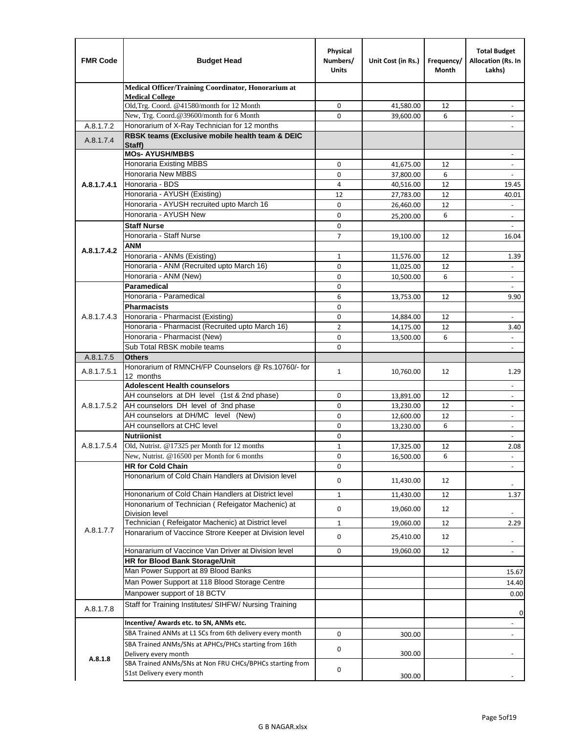| <b>FMR Code</b> | <b>Budget Head</b>                                                                    | Physical<br>Numbers/<br><b>Units</b> | Unit Cost (in Rs.) | Frequency/<br>Month | <b>Total Budget</b><br>Allocation (Rs. In<br>Lakhs) |
|-----------------|---------------------------------------------------------------------------------------|--------------------------------------|--------------------|---------------------|-----------------------------------------------------|
|                 | Medical Officer/Training Coordinator, Honorarium at                                   |                                      |                    |                     |                                                     |
|                 | <b>Medical College</b><br>Old, Trg. Coord. @41580/month for 12 Month                  | $\mathbf 0$                          | 41,580.00          | 12                  |                                                     |
|                 | New, Trg. Coord.@39600/month for 6 Month                                              | $\Omega$                             | 39,600.00          | 6                   |                                                     |
| A.8.1.7.2       | Honorarium of X-Ray Technician for 12 months                                          |                                      |                    |                     |                                                     |
| A.8.1.7.4       | RBSK teams (Exclusive mobile health team & DEIC<br>Staff)                             |                                      |                    |                     |                                                     |
|                 | <b>MOs- AYUSH/MBBS</b>                                                                |                                      |                    |                     |                                                     |
|                 | <b>Honoraria Existing MBBS</b>                                                        | $\mathbf 0$                          | 41,675.00          | 12                  | $\blacksquare$                                      |
|                 | Honoraria New MBBS                                                                    | 0                                    | 37,800.00          | 6                   | $\overline{\phantom{a}}$                            |
| A.8.1.7.4.1     | Honoraria - BDS                                                                       | 4                                    | 40,516.00          | 12                  | 19.45                                               |
|                 | Honoraria - AYUSH (Existing)                                                          | 12                                   | 27,783.00          | 12                  | 40.01                                               |
|                 | Honoraria - AYUSH recruited upto March 16<br>Honoraria - AYUSH New                    | $\Omega$                             | 26,460.00          | 12                  |                                                     |
|                 | <b>Staff Nurse</b>                                                                    | 0<br>$\Omega$                        | 25,200.00          | 6                   | $\overline{\phantom{a}}$                            |
|                 | Honoraria - Staff Nurse                                                               | $\overline{7}$                       | 19,100.00          | 12                  | 16.04                                               |
|                 | <b>ANM</b>                                                                            |                                      |                    |                     |                                                     |
| A.8.1.7.4.2     | Honoraria - ANMs (Existing)                                                           | $\mathbf{1}$                         | 11,576.00          | 12                  | 1.39                                                |
|                 | Honoraria - ANM (Recruited upto March 16)                                             | $\mathbf 0$                          | 11,025.00          | 12                  | $\blacksquare$                                      |
|                 | Honoraria - ANM (New)                                                                 | 0                                    | 10,500.00          | 6                   |                                                     |
|                 | Paramedical                                                                           | $\mathbf 0$                          |                    |                     | $\omega$                                            |
|                 | Honoraria - Paramedical                                                               | 6                                    | 13,753.00          | 12                  | 9.90                                                |
|                 | <b>Pharmacists</b>                                                                    | 0                                    |                    |                     |                                                     |
| A.8.1.7.4.3     | Honoraria - Pharmacist (Existing)                                                     | $\mathbf 0$                          | 14,884.00          | 12                  | $\overline{\phantom{a}}$                            |
|                 | Honoraria - Pharmacist (Recruited upto March 16)                                      | $\overline{2}$                       | 14,175.00          | 12                  | 3.40                                                |
|                 | Honoraria - Pharmacist (New)                                                          | 0                                    | 13,500.00          | 6                   | $\overline{a}$                                      |
|                 | Sub Total RBSK mobile teams                                                           | $\Omega$                             |                    |                     | $\overline{\phantom{a}}$                            |
| A.8.1.7.5       | <b>Others</b><br>Honorarium of RMNCH/FP Counselors @ Rs.10760/- for                   |                                      |                    |                     |                                                     |
| A.8.1.7.5.1     | 12 months                                                                             | $\mathbf{1}$                         | 10,760.00          | 12                  | 1.29                                                |
|                 | <b>Adolescent Health counselors</b>                                                   |                                      |                    |                     | $\blacksquare$                                      |
|                 | AH counselors at DH level (1st & 2nd phase)                                           | 0                                    | 13,891.00          | 12                  |                                                     |
| A.8.1.7.5.2     | AH counselors DH level of 3nd phase                                                   | $\mathbf 0$                          | 13,230.00          | 12                  | $\overline{\phantom{a}}$                            |
|                 | AH counselors at DH/MC level (New)                                                    | 0                                    | 12,600.00          | 12                  | $\blacksquare$                                      |
|                 | AH counsellors at CHC level                                                           | $\mathbf 0$                          | 13,230.00          | 6                   | $\overline{\phantom{a}}$                            |
|                 | <b>Nutriionist</b>                                                                    | 0                                    |                    |                     | $\overline{\phantom{a}}$                            |
| A.8.1.7.5.4     | Old, Nutrist. @17325 per Month for 12 months                                          | $\mathbf{1}$                         | 17,325.00          | 12                  | 2.08                                                |
|                 | New, Nutrist. $@16500$ per Month for 6 months                                         | 0                                    | 16,500.00          | 6                   |                                                     |
|                 | <b>HR for Cold Chain</b><br>Hononarium of Cold Chain Handlers at Division level       | 0                                    |                    |                     |                                                     |
|                 |                                                                                       | 0                                    | 11,430.00          | 12                  |                                                     |
|                 | Hononarium of Cold Chain Handlers at District level                                   | $\mathbf{1}$                         | 11,430.00          | 12                  | 1.37                                                |
|                 | Hononarium of Technician (Refeigator Machenic) at                                     | 0                                    | 19,060.00          | 12                  |                                                     |
|                 | <b>Division level</b><br>Technician (Refeigator Machenic) at District level           | $1\,$                                | 19,060.00          | 12                  | 2.29                                                |
| A.8.1.7.7       | Honararium of Vaccince Strore Keeper at Division level                                |                                      |                    |                     |                                                     |
|                 |                                                                                       | 0                                    | 25,410.00          | 12                  | $\overline{\phantom{a}}$                            |
|                 | Honararium of Vaccince Van Driver at Division level                                   | 0                                    | 19,060.00          | 12                  | $\overline{\phantom{a}}$                            |
|                 | <b>HR for Blood Bank Storage/Unit</b><br>Man Power Support at 89 Blood Banks          |                                      |                    |                     |                                                     |
|                 | Man Power Support at 118 Blood Storage Centre                                         |                                      |                    |                     | 15.67                                               |
|                 |                                                                                       |                                      |                    |                     | 14.40                                               |
|                 | Manpower support of 18 BCTV<br>Staff for Training Institutes/ SIHFW/ Nursing Training |                                      |                    |                     | 0.00                                                |
| A.8.1.7.8       |                                                                                       |                                      |                    |                     | 0                                                   |
|                 | Incentive/ Awards etc. to SN, ANMs etc.                                               |                                      |                    |                     | $\overline{\phantom{a}}$                            |
|                 | SBA Trained ANMs at L1 SCs from 6th delivery every month                              | 0                                    | 300.00             |                     | $\blacksquare$                                      |
|                 | SBA Trained ANMs/SNs at APHCs/PHCs starting from 16th<br>Delivery every month         | 0                                    | 300.00             |                     |                                                     |
| A.8.1.8         | SBA Trained ANMs/SNs at Non FRU CHCs/BPHCs starting from                              | 0                                    |                    |                     |                                                     |
|                 | 51st Delivery every month                                                             |                                      | 300.00             |                     |                                                     |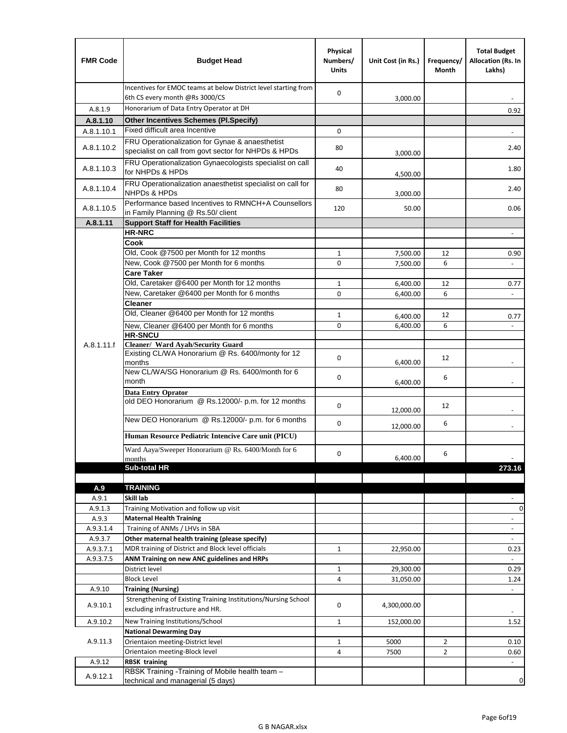| <b>FMR Code</b>  | <b>Budget Head</b>                                                                                      | Physical<br>Numbers/<br><b>Units</b> | Unit Cost (in Rs.) | Frequency/<br>Month | <b>Total Budget</b><br>Allocation (Rs. In<br>Lakhs) |
|------------------|---------------------------------------------------------------------------------------------------------|--------------------------------------|--------------------|---------------------|-----------------------------------------------------|
|                  | Incentives for EMOC teams at below District level starting from<br>6th CS every month @Rs 3000/CS       | $\mathbf 0$                          | 3,000.00           |                     |                                                     |
| A.8.1.9          | Honorarium of Data Entry Operator at DH                                                                 |                                      |                    |                     | 0.92                                                |
| A.8.1.10         | <b>Other Incentives Schemes (PI.Specify)</b>                                                            |                                      |                    |                     |                                                     |
| A.8.1.10.1       | Fixed difficult area Incentive                                                                          | $\mathbf 0$                          |                    |                     |                                                     |
| A.8.1.10.2       | FRU Operationalization for Gynae & anaesthetist<br>specialist on call from govt sector for NHPDs & HPDs | 80                                   | 3,000.00           |                     | 2.40                                                |
| A.8.1.10.3       | FRU Operationalization Gynaecologists specialist on call<br>for NHPDs & HPDs                            | 40                                   | 4,500.00           |                     | 1.80                                                |
| A.8.1.10.4       | FRU Operationalization anaesthetist specialist on call for<br><b>NHPDs &amp; HPDs</b>                   | 80                                   | 3,000.00           |                     | 2.40                                                |
| A.8.1.10.5       | Performance based Incentives to RMNCH+A Counsellors<br>in Family Planning @ Rs.50/ client               | 120                                  | 50.00              |                     | 0.06                                                |
| A.8.1.11         | <b>Support Staff for Health Facilities</b>                                                              |                                      |                    |                     |                                                     |
|                  | <b>HR-NRC</b>                                                                                           |                                      |                    |                     | $\blacksquare$                                      |
|                  | Cook                                                                                                    |                                      |                    |                     |                                                     |
|                  | Old, Cook @7500 per Month for 12 months                                                                 | $\mathbf{1}$                         | 7,500.00           | 12                  | 0.90                                                |
|                  | New, Cook @7500 per Month for 6 months                                                                  | 0                                    | 7,500.00           | 6                   | $\Box$                                              |
|                  | <b>Care Taker</b><br>Old, Caretaker @6400 per Month for 12 months                                       | $\mathbf{1}$                         | 6,400.00           | 12                  | 0.77                                                |
|                  | New, Caretaker @6400 per Month for 6 months                                                             | 0                                    | 6,400.00           | 6                   | ÷,                                                  |
|                  | <b>Cleaner</b>                                                                                          |                                      |                    |                     |                                                     |
|                  | Old, Cleaner @6400 per Month for 12 months                                                              | $\mathbf{1}$                         | 6,400.00           | 12                  | 0.77                                                |
|                  | New, Cleaner @6400 per Month for 6 months                                                               | $\mathbf 0$                          | 6,400.00           | 6                   |                                                     |
|                  | <b>HR-SNCU</b>                                                                                          |                                      |                    |                     |                                                     |
| A.8.1.11.f       | Cleaner/ Ward Ayah/Security Guard                                                                       |                                      |                    |                     |                                                     |
|                  | Existing CL/WA Honorarium @ Rs. 6400/monty for 12<br>months                                             | $\mathbf 0$                          | 6,400.00           | 12                  |                                                     |
|                  | New CL/WA/SG Honorarium @ Rs. 6400/month for 6<br>month                                                 | 0                                    | 6,400.00           | 6                   |                                                     |
|                  | <b>Data Entry Oprator</b>                                                                               |                                      |                    |                     |                                                     |
|                  | old DEO Honorarium @ Rs.12000/- p.m. for 12 months                                                      | $\mathbf 0$                          | 12,000.00          | 12                  |                                                     |
|                  | New DEO Honorarium @ Rs.12000/- p.m. for 6 months                                                       | $\mathbf 0$                          | 12,000.00          | 6                   |                                                     |
|                  | Human Resource Pediatric Intencive Care unit (PICU)                                                     |                                      |                    |                     |                                                     |
|                  | Ward Aaya/Sweeper Honorarium @ Rs. 6400/Month for 6                                                     |                                      |                    |                     |                                                     |
|                  | months                                                                                                  | $\mathbf 0$                          | 6,400.00           | 6                   |                                                     |
|                  | Sub-total HR                                                                                            |                                      |                    |                     | 273.16                                              |
|                  |                                                                                                         |                                      |                    |                     |                                                     |
| A.9              | <b>TRAINING</b><br>Skill lab                                                                            |                                      |                    |                     |                                                     |
| A.9.1<br>A.9.1.3 | Training Motivation and follow up visit                                                                 |                                      |                    |                     | 0                                                   |
| A.9.3            | <b>Maternal Health Training</b>                                                                         |                                      |                    |                     | $\blacksquare$                                      |
| A.9.3.1.4        | Training of ANMs / LHVs in SBA                                                                          |                                      |                    |                     | $\overline{\phantom{a}}$                            |
| A.9.3.7          | Other maternal health training (please specify)                                                         |                                      |                    |                     |                                                     |
| A.9.3.7.1        | MDR training of District and Block level officials                                                      | 1                                    | 22,950.00          |                     | 0.23                                                |
| A.9.3.7.5        | ANM Training on new ANC guidelines and HRPs                                                             |                                      |                    |                     |                                                     |
|                  | District level                                                                                          | 1                                    | 29,300.00          |                     | 0.29                                                |
|                  | <b>Block Level</b>                                                                                      | 4                                    | 31,050.00          |                     | 1.24                                                |
| A.9.10           | <b>Training (Nursing)</b>                                                                               |                                      |                    |                     | $\blacksquare$                                      |
| A.9.10.1         | Strengthening of Existing Training Institutions/Nursing School<br>excluding infrastructure and HR.      | 0                                    | 4,300,000.00       |                     |                                                     |
| A.9.10.2         | New Training Institutions/School                                                                        | $\mathbf{1}$                         | 152,000.00         |                     | 1.52                                                |
|                  | <b>National Dewarming Day</b>                                                                           |                                      |                    |                     |                                                     |
| A.9.11.3         | Orientaion meeting-District level                                                                       | $\mathbf 1$                          | 5000               | $\overline{2}$      | 0.10                                                |
|                  | Orientaion meeting-Block level                                                                          | 4                                    | 7500               | $\overline{2}$      | 0.60                                                |
| A.9.12           | <b>RBSK training</b>                                                                                    |                                      |                    |                     |                                                     |
| A.9.12.1         | RBSK Training -Training of Mobile health team -<br>technical and managerial (5 days)                    |                                      |                    |                     | 0                                                   |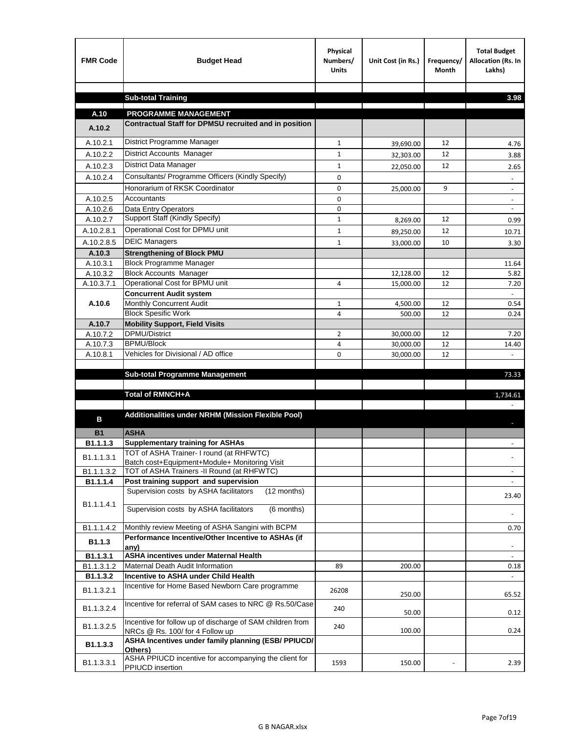| <b>FMR Code</b>    | <b>Budget Head</b>                                                                           | Physical<br>Numbers/<br><b>Units</b> | Unit Cost (in Rs.) | Frequency/<br><b>Month</b> | <b>Total Budget</b><br>Allocation (Rs. In<br>Lakhs) |
|--------------------|----------------------------------------------------------------------------------------------|--------------------------------------|--------------------|----------------------------|-----------------------------------------------------|
|                    |                                                                                              |                                      |                    |                            |                                                     |
|                    | <b>Sub-total Training</b>                                                                    |                                      |                    |                            | 3.98                                                |
| A.10               | <b>PROGRAMME MANAGEMENT</b>                                                                  |                                      |                    |                            |                                                     |
| A.10.2             | Contractual Staff for DPMSU recruited and in position                                        |                                      |                    |                            |                                                     |
| A.10.2.1           | District Programme Manager                                                                   | $\mathbf{1}$                         | 39,690.00          | 12                         | 4.76                                                |
| A.10.2.2           | District Accounts Manager                                                                    | 1                                    | 32,303.00          | 12                         | 3.88                                                |
| A.10.2.3           | District Data Manager                                                                        | $\mathbf{1}$                         |                    | 12                         |                                                     |
| A.10.2.4           | Consultants/ Programme Officers (Kindly Specify)                                             | $\mathbf 0$                          | 22,050.00          |                            | 2.65                                                |
|                    | Honorarium of RKSK Coordinator                                                               | 0                                    | 25,000.00          | 9                          | $\overline{\phantom{a}}$                            |
| A.10.2.5           | Accountants                                                                                  | 0                                    |                    |                            |                                                     |
| A.10.2.6           | Data Entry Operators                                                                         | 0                                    |                    |                            | $\overline{\phantom{a}}$                            |
| A.10.2.7           | Support Staff (Kindly Specify)                                                               | $\mathbf{1}$                         | 8,269.00           | 12                         | 0.99                                                |
| A.10.2.8.1         | Operational Cost for DPMU unit                                                               | $\mathbf{1}$                         | 89,250.00          | 12                         | 10.71                                               |
| A.10.2.8.5         | <b>DEIC Managers</b>                                                                         | $\mathbf{1}$                         | 33,000.00          | 10                         | 3.30                                                |
| A.10.3             | <b>Strengthening of Block PMU</b>                                                            |                                      |                    |                            |                                                     |
| A.10.3.1           | <b>Block Programme Manager</b>                                                               |                                      |                    |                            | 11.64                                               |
| A.10.3.2           | <b>Block Accounts Manager</b>                                                                |                                      | 12,128.00          | 12                         | 5.82                                                |
| A.10.3.7.1         | Operational Cost for BPMU unit                                                               | 4                                    | 15,000.00          | 12                         | 7.20                                                |
| A.10.6             | <b>Concurrent Audit system</b><br>Monthly Concurrent Audit                                   | $\mathbf{1}$                         |                    | 12                         | 0.54                                                |
|                    | <b>Block Spesific Work</b>                                                                   | 4                                    | 4,500.00<br>500.00 | 12                         | 0.24                                                |
| A.10.7             | <b>Mobility Support, Field Visits</b>                                                        |                                      |                    |                            |                                                     |
| A.10.7.2           | <b>DPMU/District</b>                                                                         | $\overline{2}$                       | 30,000.00          | 12                         | 7.20                                                |
| A.10.7.3           | <b>BPMU/Block</b>                                                                            | 4                                    | 30,000.00          | 12                         | 14.40                                               |
| A.10.8.1           | Vehicles for Divisional / AD office                                                          | 0                                    | 30,000.00          | 12                         |                                                     |
|                    |                                                                                              |                                      |                    |                            |                                                     |
|                    | <b>Sub-total Programme Management</b>                                                        |                                      |                    |                            | 73.33                                               |
|                    | Total of RMNCH+A                                                                             |                                      |                    |                            | 1,734.61                                            |
|                    |                                                                                              |                                      |                    |                            |                                                     |
| в                  | Additionalities under NRHM (Mission Flexible Pool)                                           |                                      |                    |                            |                                                     |
|                    |                                                                                              |                                      |                    |                            |                                                     |
| <b>B1</b>          | <b>ASHA</b>                                                                                  |                                      |                    |                            |                                                     |
| B1.1.1.3           | <b>Supplementary training for ASHAs</b><br>TOT of ASHA Trainer- I round (at RHFWTC)          |                                      |                    |                            |                                                     |
| B1.1.1.3.1         | Batch cost+Equipment+Module+ Monitoring Visit                                                |                                      |                    |                            |                                                     |
| B1.1.1.3.2         | TOT of ASHA Trainers -II Round (at RHFWTC)                                                   |                                      |                    |                            |                                                     |
| B1.1.1.4           | Post training support and supervision                                                        |                                      |                    |                            | $\sim$                                              |
|                    | Supervision costs by ASHA facilitators<br>(12 months)                                        |                                      |                    |                            | 23.40                                               |
| B1.1.1.4.1         | Supervision costs by ASHA facilitators<br>(6 months)                                         |                                      |                    |                            |                                                     |
|                    |                                                                                              |                                      |                    |                            |                                                     |
| B1.1.1.4.2         | Monthly review Meeting of ASHA Sangini with BCPM                                             |                                      |                    |                            | 0.70                                                |
| B <sub>1.1.3</sub> | Performance Incentive/Other Incentive to ASHAs (if                                           |                                      |                    |                            |                                                     |
| B1.1.3.1           | any)<br><b>ASHA incentives under Maternal Health</b>                                         |                                      |                    |                            |                                                     |
| B1.1.3.1.2         | Maternal Death Audit Information                                                             | 89                                   | 200.00             |                            | 0.18                                                |
| B1.1.3.2           | Incentive to ASHA under Child Health                                                         |                                      |                    |                            | ÷.                                                  |
| B1.1.3.2.1         | Incentive for Home Based Newborn Care programme                                              | 26208                                | 250.00             |                            | 65.52                                               |
| B1.1.3.2.4         | Incentive for referral of SAM cases to NRC @ Rs.50/Case                                      | 240                                  | 50.00              |                            | 0.12                                                |
| B1.1.3.2.5         | Incentive for follow up of discharge of SAM children from<br>NRCs @ Rs. 100/ for 4 Follow up | 240                                  | 100.00             |                            | 0.24                                                |
| B1.1.3.3           | ASHA Incentives under family planning (ESB/ PPIUCD/<br>Others)                               |                                      |                    |                            |                                                     |
| B1.1.3.3.1         | ASHA PPIUCD incentive for accompanying the client for<br>PPIUCD insertion                    | 1593                                 | 150.00             |                            | 2.39                                                |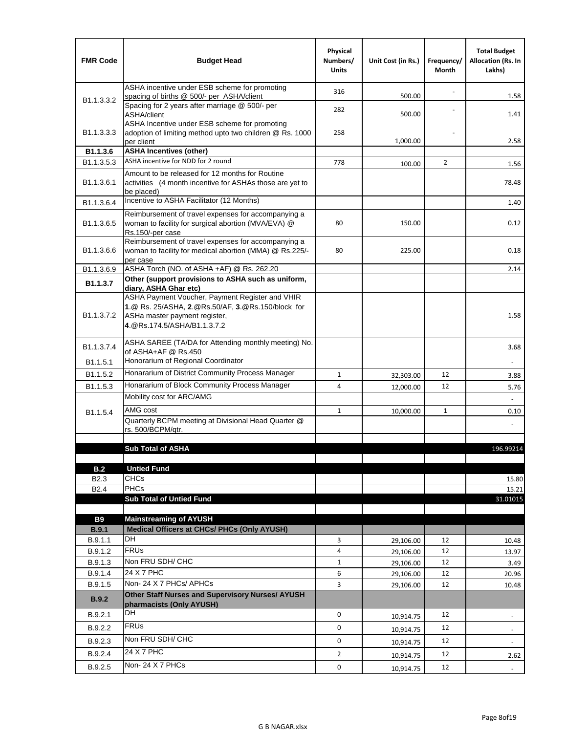| <b>FMR Code</b>                      | <b>Budget Head</b>                                                                                                                                                    | Physical<br>Numbers/<br><b>Units</b> | Unit Cost (in Rs.) | Frequency/<br>Month | <b>Total Budget</b><br><b>Allocation (Rs. In</b><br>Lakhs) |
|--------------------------------------|-----------------------------------------------------------------------------------------------------------------------------------------------------------------------|--------------------------------------|--------------------|---------------------|------------------------------------------------------------|
|                                      | ASHA incentive under ESB scheme for promoting<br>spacing of births @ 500/- per ASHA/client                                                                            | 316                                  | 500.00             |                     | 1.58                                                       |
| B <sub>1.1</sub> , 3, 3, 2           | Spacing for 2 years after marriage @ 500/- per<br>ASHA/client                                                                                                         | 282                                  | 500.00             |                     | 1.41                                                       |
| B1.1.3.3.3                           | ASHA Incentive under ESB scheme for promoting<br>adoption of limiting method upto two children @ Rs. 1000<br>per client                                               | 258                                  | 1,000.00           |                     | 2.58                                                       |
| B1.1.3.6                             | <b>ASHA Incentives (other)</b>                                                                                                                                        |                                      |                    |                     |                                                            |
| B <sub>1.1</sub> , 3, 5, 3           | ASHA incentive for NDD for 2 round                                                                                                                                    | 778                                  | 100.00             | $\overline{2}$      | 1.56                                                       |
| B <sub>1.1</sub> .3.6.1              | Amount to be released for 12 months for Routine<br>activities (4 month incentive for ASHAs those are yet to<br>be placed)                                             |                                      |                    |                     | 78.48                                                      |
| B1.1.3.6.4                           | Incentive to ASHA Facilitator (12 Months)                                                                                                                             |                                      |                    |                     | 1.40                                                       |
| B <sub>1.1</sub> .3.6.5              | Reimbursement of travel expenses for accompanying a<br>woman to facility for surgical abortion (MVA/EVA) @<br>Rs.150/-per case                                        | 80                                   | 150.00             |                     | 0.12                                                       |
| B <sub>1.1</sub> .3.6.6              | Reimbursement of travel expenses for accompanying a<br>woman to facility for medical abortion (MMA) @ Rs.225/-<br>per case                                            | 80                                   | 225.00             |                     | 0.18                                                       |
| B1.1.3.6.9                           | ASHA Torch (NO. of ASHA +AF) @ Rs. 262.20                                                                                                                             |                                      |                    |                     | 2.14                                                       |
| B1.1.3.7                             | Other (support provisions to ASHA such as uniform,<br>diary, ASHA Ghar etc)                                                                                           |                                      |                    |                     |                                                            |
| B <sub>1.1</sub> .3.7.2              | ASHA Payment Voucher, Payment Register and VHIR<br>1.@ Rs. 25/ASHA, 2.@Rs.50/AF, 3.@Rs.150/block for<br>ASHa master payment register,<br>4. @Rs.174.5/ASHA/B1.1.3.7.2 |                                      |                    |                     | 1.58                                                       |
| B <sub>1.1</sub> , 3.7.4             | ASHA SAREE (TA/DA for Attending monthly meeting) No.<br>of ASHA+AF @ Rs.450                                                                                           |                                      |                    |                     | 3.68                                                       |
| B1.1.5.1                             | Honorarium of Regional Coordinator                                                                                                                                    |                                      |                    |                     |                                                            |
| B <sub>1.1.5.2</sub>                 | Honararium of District Community Process Manager                                                                                                                      | $\mathbf{1}$                         | 32,303.00          | 12                  | 3.88                                                       |
| B1.1.5.3                             | Honararium of Block Community Process Manager                                                                                                                         | 4                                    | 12,000.00          | 12                  | 5.76                                                       |
|                                      | Mobility cost for ARC/AMG                                                                                                                                             |                                      |                    |                     |                                                            |
| B <sub>1.1.5.4</sub>                 | AMG cost                                                                                                                                                              | $\mathbf{1}$                         | 10,000.00          | $\mathbf{1}$        | 0.10                                                       |
|                                      | Quarterly BCPM meeting at Divisional Head Quarter @<br>rs. 500/BCPM/qtr.                                                                                              |                                      |                    |                     |                                                            |
|                                      |                                                                                                                                                                       |                                      |                    |                     |                                                            |
|                                      | <b>Sub Total of ASHA</b>                                                                                                                                              |                                      |                    |                     | 196.99214                                                  |
|                                      |                                                                                                                                                                       |                                      |                    |                     |                                                            |
| B.2                                  | <b>Untied Fund</b><br><b>CHCs</b>                                                                                                                                     |                                      |                    |                     |                                                            |
| B <sub>2.3</sub><br>B <sub>2.4</sub> | <b>PHCs</b>                                                                                                                                                           |                                      |                    |                     | 15.80<br>15.21                                             |
|                                      | <b>Sub Total of Untied Fund</b>                                                                                                                                       |                                      |                    |                     | 31.01015                                                   |
|                                      |                                                                                                                                                                       |                                      |                    |                     |                                                            |
| <b>B9</b>                            | <b>Mainstreaming of AYUSH</b>                                                                                                                                         |                                      |                    |                     |                                                            |
| B.9.1                                | Medical Officers at CHCs/ PHCs (Only AYUSH)                                                                                                                           |                                      |                    |                     |                                                            |
| B.9.1.1                              | <b>DH</b>                                                                                                                                                             | 3                                    | 29,106.00          | 12                  | 10.48                                                      |
| B.9.1.2                              | <b>FRUs</b>                                                                                                                                                           | 4                                    | 29,106.00          | 12                  | 13.97                                                      |
| B.9.1.3                              | Non FRU SDH/ CHC<br>24 X 7 PHC                                                                                                                                        | $\mathbf{1}$                         | 29,106.00          | 12                  | 3.49                                                       |
| B.9.1.4                              | Non-24 X 7 PHCs/ APHCs                                                                                                                                                | 6                                    | 29,106.00          | 12                  | 20.96                                                      |
| B.9.1.5<br>B.9.2                     | Other Staff Nurses and Supervisory Nurses/ AYUSH                                                                                                                      | 3                                    | 29,106.00          | 12                  | 10.48                                                      |
| B.9.2.1                              | pharmacists (Only AYUSH)<br>DH                                                                                                                                        | $\mathbf 0$                          |                    | 12                  |                                                            |
|                                      | <b>FRUs</b>                                                                                                                                                           |                                      | 10,914.75          |                     | ٠                                                          |
| B.9.2.2                              | Non FRU SDH/ CHC                                                                                                                                                      | 0                                    | 10,914.75          | 12                  | -                                                          |
| B.9.2.3                              |                                                                                                                                                                       | 0                                    | 10,914.75          | 12                  | $\frac{1}{2}$                                              |
| B.9.2.4                              | 24 X 7 PHC                                                                                                                                                            | $\overline{2}$                       | 10,914.75          | 12                  | 2.62                                                       |
| B.9.2.5                              | Non-24 X 7 PHCs                                                                                                                                                       | 0                                    | 10,914.75          | 12                  | $\overline{\phantom{a}}$                                   |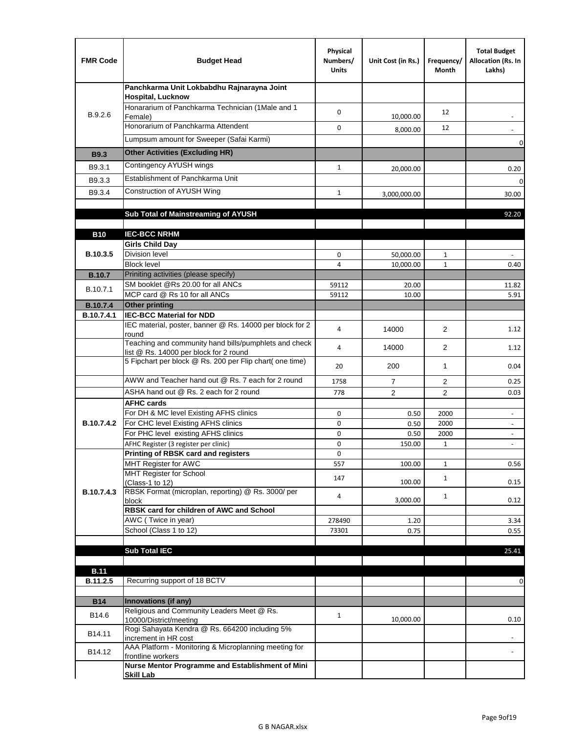| <b>FMR Code</b>   | <b>Budget Head</b>                                                                              | Physical<br>Numbers/<br><b>Units</b> | Unit Cost (in Rs.) | Frequency/<br>Month | <b>Total Budget</b><br>Allocation (Rs. In<br>Lakhs) |
|-------------------|-------------------------------------------------------------------------------------------------|--------------------------------------|--------------------|---------------------|-----------------------------------------------------|
|                   | Panchkarma Unit Lokbabdhu Rajnarayna Joint<br><b>Hospital, Lucknow</b>                          |                                      |                    |                     |                                                     |
| B.9.2.6           | Honararium of Panchkarma Technician (1Male and 1<br>Female)                                     | 0                                    | 10,000.00          | 12                  |                                                     |
|                   | Honorarium of Panchkarma Attendent                                                              | 0                                    | 8,000.00           | 12                  |                                                     |
|                   | Lumpsum amount for Sweeper (Safai Karmi)                                                        |                                      |                    |                     | 0                                                   |
| <b>B9.3</b>       | <b>Other Activities (Excluding HR)</b>                                                          |                                      |                    |                     |                                                     |
| B9.3.1            | Contingency AYUSH wings                                                                         | $\mathbf{1}$                         | 20,000.00          |                     | 0.20                                                |
| B9.3.3            | Establishment of Panchkarma Unit                                                                |                                      |                    |                     | $\mathbf 0$                                         |
| B9.3.4            | Construction of AYUSH Wing                                                                      | $\mathbf{1}$                         | 3,000,000.00       |                     | 30.00                                               |
|                   |                                                                                                 |                                      |                    |                     |                                                     |
|                   | Sub Total of Mainstreaming of AYUSH                                                             |                                      |                    |                     | 92.20                                               |
|                   |                                                                                                 |                                      |                    |                     |                                                     |
| <b>B10</b>        | <b>IEC-BCC NRHM</b><br><b>Girls Child Day</b>                                                   |                                      |                    |                     |                                                     |
| B.10.3.5          | <b>Division level</b>                                                                           | 0                                    | 50,000.00          | 1                   |                                                     |
|                   | <b>Block level</b>                                                                              | $\overline{4}$                       | 10,000.00          | $\mathbf{1}$        | 0.40                                                |
| <b>B.10.7</b>     | Priniting activities (please specify)                                                           |                                      |                    |                     |                                                     |
| B.10.7.1          | SM booklet @Rs 20.00 for all ANCs<br>MCP card @ Rs 10 for all ANCs                              | 59112                                | 20.00              |                     | 11.82                                               |
| <b>B.10.7.4</b>   | <b>Other printing</b>                                                                           | 59112                                | 10.00              |                     | 5.91                                                |
| B.10.7.4.1        | <b>IEC-BCC Material for NDD</b>                                                                 |                                      |                    |                     |                                                     |
|                   | IEC material, poster, banner @ Rs. 14000 per block for 2<br>round                               | 4                                    | 14000              | $\overline{2}$      | 1.12                                                |
|                   | Teaching and community hand bills/pumphlets and check<br>list @ Rs. 14000 per block for 2 round | 4                                    | 14000              | $\overline{2}$      | 1.12                                                |
|                   | 5 Fipchart per block @ Rs. 200 per Flip chart( one time)                                        | 20                                   | 200                | 1                   | 0.04                                                |
|                   | AWW and Teacher hand out @ Rs. 7 each for 2 round                                               | 1758                                 | $\overline{7}$     | 2                   | 0.25                                                |
|                   | ASHA hand out @ Rs. 2 each for 2 round                                                          | 778                                  | $\overline{2}$     | 2                   | 0.03                                                |
|                   | <b>AFHC cards</b><br>For DH & MC level Existing AFHS clinics                                    | 0                                    |                    | 2000                | $\overline{\phantom{a}}$                            |
| <b>B.10.7.4.2</b> | For CHC level Existing AFHS clinics                                                             | 0                                    | 0.50<br>0.50       | 2000                | $\overline{\phantom{a}}$                            |
|                   | For PHC level existing AFHS clinics                                                             | 0                                    | 0.50               | 2000                | $\bar{a}$                                           |
|                   | AFHC Register (3 register per clinic)                                                           | 0                                    | 150.00             | $\mathbf{1}$        | $\blacksquare$                                      |
|                   | Printing of RBSK card and registers                                                             | 0                                    |                    |                     |                                                     |
|                   | MHT Register for AWC<br>MHT Register for School                                                 | 557                                  | 100.00             | $\mathbf{1}$        | 0.56                                                |
|                   | (Class-1 to 12)                                                                                 | 147                                  | 100.00             | $\mathbf{1}$        | 0.15                                                |
| B.10.7.4.3        | RBSK Format (microplan, reporting) @ Rs. 3000/ per                                              | 4                                    |                    | $\mathbf{1}$        |                                                     |
|                   | block<br>RBSK card for children of AWC and School                                               |                                      | 3,000.00           |                     | 0.12                                                |
|                   | AWC (Twice in year)                                                                             | 278490                               | 1.20               |                     | 3.34                                                |
|                   | School (Class 1 to 12)                                                                          | 73301                                | 0.75               |                     | 0.55                                                |
|                   |                                                                                                 |                                      |                    |                     |                                                     |
|                   | <b>Sub Total IEC</b>                                                                            |                                      |                    |                     | 25.41                                               |
| <b>B.11</b>       |                                                                                                 |                                      |                    |                     |                                                     |
| B.11.2.5          | Recurring support of 18 BCTV                                                                    |                                      |                    |                     | 0                                                   |
|                   |                                                                                                 |                                      |                    |                     |                                                     |
| <b>B14</b>        | Innovations (if any)<br>Religious and Community Leaders Meet @ Rs.                              |                                      |                    |                     |                                                     |
| B14.6             | 10000/District/meeting                                                                          | $\mathbf{1}$                         | 10,000.00          |                     | 0.10                                                |
| B14.11            | Rogi Sahayata Kendra @ Rs. 664200 including 5%<br>increment in HR cost                          |                                      |                    |                     |                                                     |
| B14.12            | AAA Platform - Monitoring & Microplanning meeting for<br>frontline workers                      |                                      |                    |                     |                                                     |
|                   | Nurse Mentor Programme and Establishment of Mini                                                |                                      |                    |                     |                                                     |
|                   | <b>Skill Lab</b>                                                                                |                                      |                    |                     |                                                     |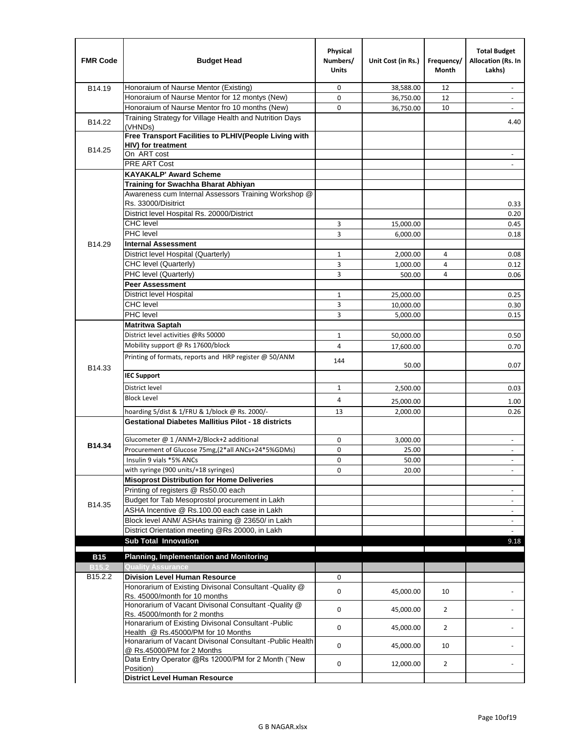| <b>FMR Code</b>     | <b>Budget Head</b>                                                                              | Physical<br>Numbers/<br><b>Units</b> | Unit Cost (in Rs.) | Frequency/<br>Month | <b>Total Budget</b><br>Allocation (Rs. In<br>Lakhs) |
|---------------------|-------------------------------------------------------------------------------------------------|--------------------------------------|--------------------|---------------------|-----------------------------------------------------|
| B14.19              | Honoraium of Naurse Mentor (Existing)                                                           | 0                                    | 38,588.00          | 12                  |                                                     |
|                     | Honoraium of Naurse Mentor for 12 montys (New)                                                  | 0                                    | 36,750.00          | 12                  | $\overline{a}$                                      |
|                     | Honoraium of Naurse Mentor fro 10 months (New)                                                  | 0                                    | 36,750.00          | 10                  | $\blacksquare$                                      |
| B14.22              | Training Strategy for Village Health and Nutrition Days<br>(VHNDs)                              |                                      |                    |                     | 4.40                                                |
|                     | Free Transport Facilities to PLHIV(People Living with                                           |                                      |                    |                     |                                                     |
| B14.25              | HIV) for treatment                                                                              |                                      |                    |                     |                                                     |
|                     | On ART cost                                                                                     |                                      |                    |                     |                                                     |
|                     | PRE ART Cost                                                                                    |                                      |                    |                     |                                                     |
|                     | <b>KAYAKALP' Award Scheme</b>                                                                   |                                      |                    |                     |                                                     |
|                     | Training for Swachha Bharat Abhiyan                                                             |                                      |                    |                     |                                                     |
|                     | Awareness cum Internal Assessors Training Workshop @                                            |                                      |                    |                     |                                                     |
|                     | Rs. 33000/Disitrict                                                                             |                                      |                    |                     | 0.33                                                |
|                     | District level Hospital Rs. 20000/District                                                      |                                      |                    |                     | 0.20                                                |
|                     | <b>CHC</b> level<br>PHC level                                                                   | 3                                    | 15,000.00          |                     | 0.45                                                |
|                     |                                                                                                 | 3                                    | 6,000.00           |                     | 0.18                                                |
| B14.29              | <b>Internal Assessment</b>                                                                      |                                      |                    |                     |                                                     |
|                     | District level Hospital (Quarterly)                                                             | $\mathbf{1}$                         | 2,000.00           | 4                   | 0.08                                                |
|                     | CHC level (Quarterly)                                                                           | 3                                    | 1,000.00           | 4                   | 0.12                                                |
|                     | PHC level (Quarterly)                                                                           | 3                                    | 500.00             | 4                   | 0.06                                                |
|                     | <b>Peer Assessment</b>                                                                          |                                      |                    |                     |                                                     |
|                     | <b>District level Hospital</b><br><b>CHC</b> level                                              | 1                                    | 25,000.00          |                     | 0.25                                                |
|                     | PHC level                                                                                       | 3                                    | 10,000.00          |                     | 0.30                                                |
|                     |                                                                                                 | 3                                    | 5,000.00           |                     | 0.15                                                |
|                     | <b>Matritwa Saptah</b><br>District level activities @Rs 50000                                   |                                      |                    |                     |                                                     |
|                     |                                                                                                 | 1                                    | 50,000.00          |                     | 0.50                                                |
|                     | Mobility support @ Rs 17600/block                                                               | 4                                    | 17,600.00          |                     | 0.70                                                |
| B14.33              | Printing of formats, reports and HRP register @ 50/ANM                                          | 144                                  | 50.00              |                     | 0.07                                                |
|                     | <b>IEC Support</b>                                                                              |                                      |                    |                     |                                                     |
|                     | District level                                                                                  | 1                                    | 2,500.00           |                     | 0.03                                                |
|                     | <b>Block Level</b>                                                                              | 4                                    | 25,000.00          |                     | 1.00                                                |
|                     | hoarding 5/dist & 1/FRU & 1/block @ Rs. 2000/-                                                  | 13                                   | 2,000.00           |                     | 0.26                                                |
|                     | <b>Gestational Diabetes Mallitius Pilot - 18 districts</b>                                      |                                      |                    |                     |                                                     |
|                     | Glucometer @ 1 /ANM+2/Block+2 additional                                                        | 0                                    | 3,000.00           |                     |                                                     |
| B14.34              | Procurement of Glucose 75mg, (2*all ANCs+24*5%GDMs)                                             | 0                                    | 25.00              |                     |                                                     |
|                     | Insulin 9 vials *5% ANCs                                                                        | 0                                    | 50.00              |                     | $\blacksquare$                                      |
|                     | with syringe (900 units/+18 syringes)                                                           | 0                                    | 20.00              |                     |                                                     |
|                     | <b>Misoprost Distribution for Home Deliveries</b>                                               |                                      |                    |                     |                                                     |
|                     | Printing of registers @ Rs50.00 each                                                            |                                      |                    |                     | $\overline{\phantom{a}}$                            |
|                     | Budget for Tab Mesoprostol procurement in Lakh                                                  |                                      |                    |                     | $\blacksquare$                                      |
| B14.35              | ASHA Incentive @ Rs.100.00 each case in Lakh                                                    |                                      |                    |                     | $\overline{\phantom{a}}$                            |
|                     | Block level ANM/ ASHAs training @ 23650/ in Lakh                                                |                                      |                    |                     |                                                     |
|                     | District Orientation meeting @Rs 20000, in Lakh                                                 |                                      |                    |                     | $\omega$                                            |
|                     | <b>Sub Total Innovation</b>                                                                     |                                      |                    |                     | 9.18                                                |
| <b>B15</b>          | <b>Planning, Implementation and Monitoring</b>                                                  |                                      |                    |                     |                                                     |
| <b>B15.2</b>        | <b>Quality Assurance</b>                                                                        |                                      |                    |                     |                                                     |
| B <sub>15.2.2</sub> | <b>Division Level Human Resource</b>                                                            | 0                                    |                    |                     |                                                     |
|                     | Honorarium of Existing Divisonal Consultant - Quality @                                         |                                      |                    |                     |                                                     |
|                     | Rs. 45000/month for 10 months                                                                   | 0                                    | 45,000.00          | 10                  |                                                     |
|                     | Honorarium of Vacant Divisonal Consultant - Quality @                                           | 0                                    | 45,000.00          | $\overline{2}$      |                                                     |
|                     | Rs. 45000/month for 2 months                                                                    |                                      |                    |                     |                                                     |
|                     | Honararium of Existing Divisonal Consultant - Public                                            | 0                                    | 45,000.00          | $\overline{2}$      |                                                     |
|                     | Health @ Rs.45000/PM for 10 Months<br>Honararium of Vacant Divisonal Consultant - Public Health |                                      |                    |                     |                                                     |
|                     | @ Rs.45000/PM for 2 Months                                                                      | 0                                    | 45,000.00          | 10                  |                                                     |
|                     | Data Entry Operator @Rs 12000/PM for 2 Month ("New<br>Position)                                 | 0                                    | 12,000.00          | $\overline{2}$      |                                                     |
|                     | <b>District Level Human Resource</b>                                                            |                                      |                    |                     |                                                     |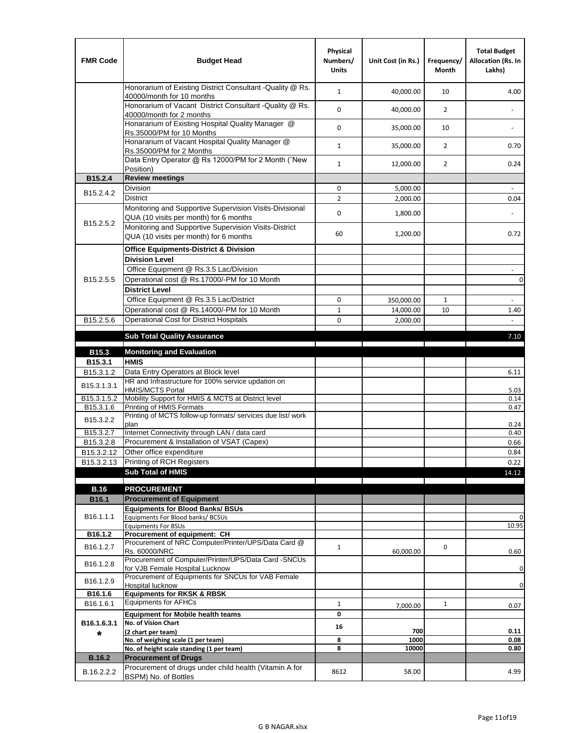| <b>FMR Code</b>         | <b>Budget Head</b>                                                                                | Physical<br>Numbers/<br><b>Units</b> | Unit Cost (in Rs.) | Frequency/<br><b>Month</b> | <b>Total Budget</b><br>Allocation (Rs. In<br>Lakhs) |
|-------------------------|---------------------------------------------------------------------------------------------------|--------------------------------------|--------------------|----------------------------|-----------------------------------------------------|
|                         | Honorarium of Existing District Consultant -Quality @ Rs.<br>40000/month for 10 months            | $\mathbf{1}$                         | 40,000.00          | 10                         | 4.00                                                |
|                         | Honorarium of Vacant District Consultant -Quality @ Rs.<br>40000/month for 2 months               | $\mathbf 0$                          | 40,000.00          | $\overline{2}$             | ä,                                                  |
|                         | Honararium of Existing Hospital Quality Manager @<br>Rs.35000/PM for 10 Months                    | 0                                    | 35,000.00          | 10                         |                                                     |
|                         | Honararium of Vacant Hospital Quality Manager @<br>Rs.35000/PM for 2 Months                       | $\mathbf{1}$                         | 35,000.00          | $\overline{2}$             | 0.70                                                |
|                         | Data Entry Operator @ Rs 12000/PM for 2 Month ("New<br>Position)                                  | $\mathbf{1}$                         | 12,000.00          | $\overline{2}$             | 0.24                                                |
| B15.2.4                 | <b>Review meetings</b>                                                                            |                                      |                    |                            |                                                     |
| B <sub>15.2</sub> .4.2  | Division                                                                                          | 0                                    | 5,000.00           |                            |                                                     |
|                         | <b>District</b>                                                                                   | $\overline{2}$                       | 2,000.00           |                            | 0.04                                                |
| B15.2.5.2               | Monitoring and Supportive Supervision Visits-Divisional<br>QUA (10 visits per month) for 6 months | $\mathbf 0$                          | 1,800.00           |                            |                                                     |
|                         | Monitoring and Supportive Supervision Visits-District<br>QUA (10 visits per month) for 6 months   | 60                                   | 1,200.00           |                            | 0.72                                                |
|                         | <b>Office Equipments-District &amp; Division</b>                                                  |                                      |                    |                            |                                                     |
|                         | <b>Division Level</b>                                                                             |                                      |                    |                            |                                                     |
|                         | Office Equipment @ Rs.3.5 Lac/Division                                                            |                                      |                    |                            | $\sim$                                              |
| B15.2.5.5               | Operational cost @ Rs.17000/-PM for 10 Month                                                      |                                      |                    |                            | $\pmb{0}$                                           |
|                         | <b>District Level</b>                                                                             |                                      |                    |                            |                                                     |
|                         | Office Equipment @ Rs.3.5 Lac/District                                                            | 0                                    | 350,000.00         | $\mathbf{1}$               | $\blacksquare$                                      |
|                         | Operational cost @ Rs.14000/-PM for 10 Month                                                      | $1\,$                                | 14,000.00          | 10                         | 1.40                                                |
| B15.2.5.6               | <b>Operational Cost for District Hospitals</b>                                                    | 0                                    | 2,000.00           |                            | $\mathbf{r}$                                        |
|                         | <b>Sub Total Quality Assurance</b>                                                                |                                      |                    |                            | 7.10                                                |
| B15.3                   | <b>Monitoring and Evaluation</b>                                                                  |                                      |                    |                            |                                                     |
| B15.3.1                 | <b>HMIS</b>                                                                                       |                                      |                    |                            |                                                     |
| B15.3.1.2               | Data Entry Operators at Block level                                                               |                                      |                    |                            | 6.11                                                |
| B15.3.1.3.1             | HR and Infrastructure for 100% service updation on<br><b>HMIS/MCTS Portal</b>                     |                                      |                    |                            | 5.03                                                |
| B <sub>15.3.1.5.2</sub> | Mobility Support for HMIS & MCTS at District level                                                |                                      |                    |                            | 0.14                                                |
| B15.3.1.6               | Printing of HMIS Formats<br>Printing of MCTS follow-up formats/ services due list/ work           |                                      |                    |                            | 0.47                                                |
| B15.3.2.2               | plan                                                                                              |                                      |                    |                            | 0.24                                                |
| B15.3.2.7               | Internet Connectivity through LAN / data card                                                     |                                      |                    |                            | 0.40                                                |
| B15.3.2.8               | Procurement & Installation of VSAT (Capex)                                                        |                                      |                    |                            | 0.66                                                |
| B15.3.2.12              | Other office expenditure                                                                          |                                      |                    |                            | 0.84                                                |
| B15.3.2.13              | Printing of RCH Registers                                                                         |                                      |                    |                            | 0.22                                                |
|                         | <b>Sub Total of HMIS</b>                                                                          |                                      |                    |                            | 14.12                                               |
| <b>B.16</b>             | <b>PROCUREMENT</b>                                                                                |                                      |                    |                            |                                                     |
| B16.1                   | <b>Procurement of Equipment</b>                                                                   |                                      |                    |                            |                                                     |
|                         | <b>Equipments for Blood Banks/ BSUs</b>                                                           |                                      |                    |                            |                                                     |
| B16.1.1.1               | Equipments For Blood banks/ BCSUs                                                                 |                                      |                    |                            | 0                                                   |
| B16.1.2                 | <b>Equipments For BSUs</b><br>Procurement of equipment: CH                                        |                                      |                    |                            | 10.95                                               |
|                         | Procurement of NRC Computer/Printer/UPS/Data Card @                                               |                                      |                    |                            |                                                     |
| B16.1.2.7               | Rs. 60000/NRC                                                                                     | $\mathbf{1}$                         | 60,000.00          | 0                          | 0.60                                                |
| B16.1.2.8               | Procurement of Computer/Printer/UPS/Data Card -SNCUs                                              |                                      |                    |                            |                                                     |
|                         | for VJB Female Hospital Lucknow<br>Procurement of Equipments for SNCUs for VAB Female             |                                      |                    |                            | 0                                                   |
| B16.1.2.9               | Hospital lucknow                                                                                  |                                      |                    |                            | 0                                                   |
| B16.1.6                 | <b>Equipments for RKSK &amp; RBSK</b>                                                             |                                      |                    |                            |                                                     |
| B16.1.6.1               | <b>Equipments for AFHCs</b>                                                                       | $\mathbf{1}$                         | 7,000.00           | $\mathbf{1}$               | 0.07                                                |
|                         | <b>Equipment for Mobile health teams</b>                                                          | 0                                    |                    |                            |                                                     |
| B16.1.6.3.1             | No. of Vision Chart<br>(2 chart per team)                                                         | 16                                   | 700                |                            | 0.11                                                |
| *                       | No. of weighing scale (1 per team)                                                                | 8                                    | 1000               |                            | 0.08                                                |
|                         | No. of height scale standing (1 per team)                                                         | 8                                    | 10000              |                            | 0.80                                                |
| <b>B.16.2</b>           | <b>Procurement of Drugs</b>                                                                       |                                      |                    |                            |                                                     |
| B.16.2.2.2              | Procurement of drugs under child health (Vitamin A for<br>BSPM) No. of Bottles                    | 8612                                 | 58.00              |                            | 4.99                                                |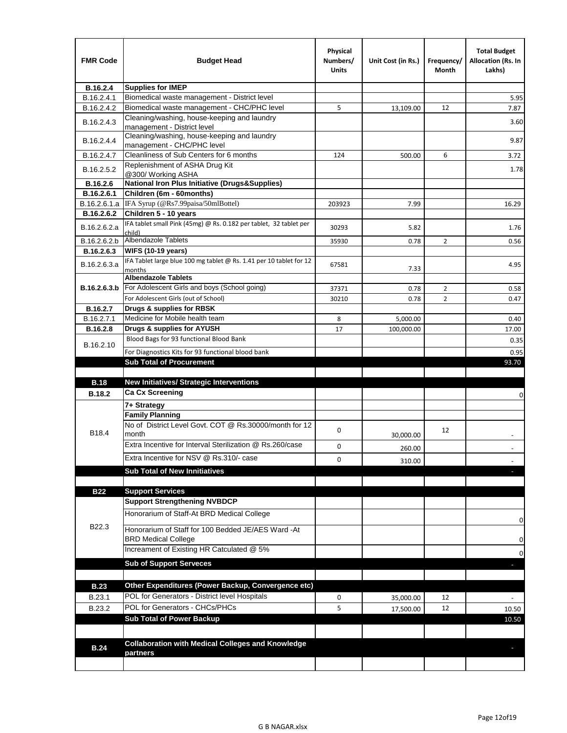| <b>FMR Code</b> | <b>Budget Head</b>                                                               | Physical<br>Numbers/<br><b>Units</b> | Unit Cost (in Rs.) | Frequency/<br>Month | <b>Total Budget</b><br><b>Allocation (Rs. In</b><br>Lakhs) |
|-----------------|----------------------------------------------------------------------------------|--------------------------------------|--------------------|---------------------|------------------------------------------------------------|
| B.16.2.4        | <b>Supplies for IMEP</b>                                                         |                                      |                    |                     |                                                            |
| B.16.2.4.1      | Biomedical waste management - District level                                     |                                      |                    |                     | 5.95                                                       |
| B.16.2.4.2      | Biomedical waste management - CHC/PHC level                                      | 5                                    | 13,109.00          | 12                  | 7.87                                                       |
| B.16.2.4.3      | Cleaning/washing, house-keeping and laundry<br>management - District level       |                                      |                    |                     | 3.60                                                       |
| B.16.2.4.4      | Cleaning/washing, house-keeping and laundry<br>management - CHC/PHC level        |                                      |                    |                     | 9.87                                                       |
| B.16.2.4.7      | Cleanliness of Sub Centers for 6 months                                          | 124                                  | 500.00             | 6                   | 3.72                                                       |
| B.16.2.5.2      | Replenishment of ASHA Drug Kit<br>@300/ Working ASHA                             |                                      |                    |                     | 1.78                                                       |
| B.16.2.6        | <b>National Iron Plus Initiative (Drugs&amp;Supplies)</b>                        |                                      |                    |                     |                                                            |
| B.16.2.6.1      | Children (6m - 60months)                                                         |                                      |                    |                     |                                                            |
| B.16.2.6.1.a    | IFA Syrup (@Rs7.99paisa/50mlBottel)                                              | 203923                               | 7.99               |                     | 16.29                                                      |
| B.16.2.6.2      | Children 5 - 10 years                                                            |                                      |                    |                     |                                                            |
| B.16.2.6.2.a    | IFA tablet small Pink (45mg) @ Rs. 0.182 per tablet, 32 tablet per<br>child)     | 30293                                | 5.82               |                     | 1.76                                                       |
| B.16.2.6.2.b    | <b>Albendazole Tablets</b>                                                       | 35930                                | 0.78               | 2                   | 0.56                                                       |
| B.16.2.6.3      | <b>WIFS (10-19 years)</b>                                                        |                                      |                    |                     |                                                            |
| B.16.2.6.3.a    | IFA Tablet large blue 100 mg tablet @ Rs. 1.41 per 10 tablet for 12<br>months    | 67581                                | 7.33               |                     | 4.95                                                       |
|                 | <b>Albendazole Tablets</b>                                                       |                                      |                    |                     |                                                            |
| B.16.2.6.3.b    | For Adolescent Girls and boys (School going)                                     | 37371                                | 0.78               | $\overline{2}$      | 0.58                                                       |
|                 | For Adolescent Girls (out of School)                                             | 30210                                | 0.78               | $\overline{2}$      | 0.47                                                       |
| B.16.2.7        | Drugs & supplies for RBSK                                                        |                                      |                    |                     |                                                            |
| B.16.2.7.1      | Medicine for Mobile health team                                                  | 8                                    | 5,000.00           |                     | 0.40                                                       |
| <b>B.16.2.8</b> | Drugs & supplies for AYUSH                                                       | 17                                   | 100,000.00         |                     | 17.00                                                      |
| B.16.2.10       | Blood Bags for 93 functional Blood Bank                                          |                                      |                    |                     | 0.35                                                       |
|                 | For Diagnostics Kits for 93 functional blood bank                                |                                      |                    |                     | 0.95                                                       |
|                 | <b>Sub Total of Procurement</b>                                                  |                                      |                    |                     | 93.70                                                      |
|                 |                                                                                  |                                      |                    |                     |                                                            |
| <b>B.18</b>     | New Initiatives/ Strategic Interventions                                         |                                      |                    |                     |                                                            |
| <b>B.18.2</b>   | <b>Ca Cx Screening</b>                                                           |                                      |                    |                     | 0                                                          |
|                 | 7+ Strategy                                                                      |                                      |                    |                     |                                                            |
| B18.4           | <b>Family Planning</b><br>No of District Level Govt. COT @ Rs.30000/month for 12 | 0                                    |                    | 12                  |                                                            |
|                 | month<br>Extra Incentive for Interval Sterilization @ Rs.260/case                |                                      | 30,000.00          |                     |                                                            |
|                 |                                                                                  | 0                                    | 260.00             |                     |                                                            |
|                 | Extra Incentive for NSV @ Rs.310/- case                                          | 0                                    | 310.00             |                     |                                                            |
|                 | <b>Sub Total of New Innitiatives</b>                                             |                                      |                    |                     |                                                            |
| <b>B22</b>      | <b>Support Services</b>                                                          |                                      |                    |                     |                                                            |
|                 | <b>Support Strengthening NVBDCP</b>                                              |                                      |                    |                     |                                                            |
|                 | Honorarium of Staff-At BRD Medical College                                       |                                      |                    |                     | 0                                                          |
| B22.3           | Honorarium of Staff for 100 Bedded JE/AES Ward -At<br><b>BRD Medical College</b> |                                      |                    |                     |                                                            |
|                 | Increament of Existing HR Catculated @ 5%                                        |                                      |                    |                     | 0                                                          |
|                 | <b>Sub of Support Serveces</b>                                                   |                                      |                    |                     | 0                                                          |
|                 |                                                                                  |                                      |                    |                     |                                                            |
| <b>B.23</b>     | Other Expenditures (Power Backup, Convergence etc)                               |                                      |                    |                     |                                                            |
| B.23.1          | POL for Generators - District level Hospitals                                    | 0                                    | 35,000.00          | 12                  |                                                            |
| B.23.2          | POL for Generators - CHCs/PHCs                                                   | 5                                    | 17,500.00          | 12                  | 10.50                                                      |
|                 | <b>Sub Total of Power Backup</b>                                                 |                                      |                    |                     | 10.50                                                      |
|                 |                                                                                  |                                      |                    |                     |                                                            |
| <b>B.24</b>     | <b>Collaboration with Medical Colleges and Knowledge</b>                         |                                      |                    |                     |                                                            |
|                 | partners                                                                         |                                      |                    |                     |                                                            |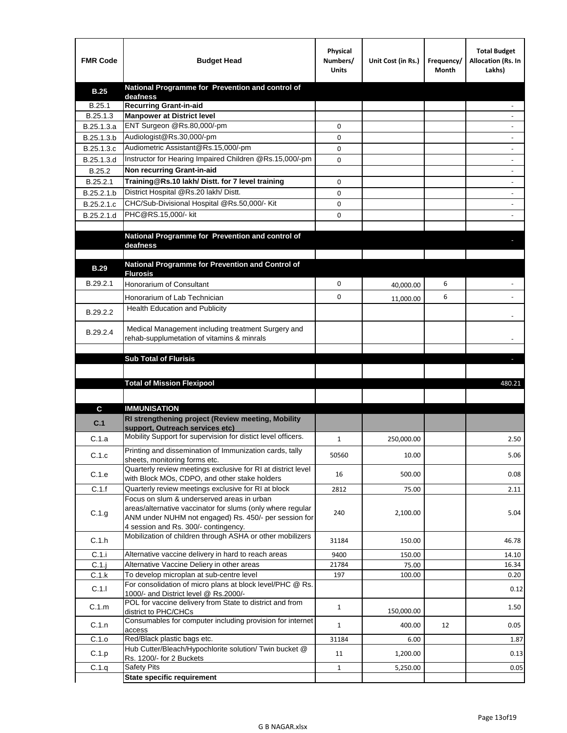| <b>FMR Code</b> | <b>Budget Head</b>                                                                                            | Physical<br>Numbers/<br><b>Units</b> | Unit Cost (in Rs.) | Frequency/<br>Month | <b>Total Budget</b><br>Allocation (Rs. In<br>Lakhs) |
|-----------------|---------------------------------------------------------------------------------------------------------------|--------------------------------------|--------------------|---------------------|-----------------------------------------------------|
| <b>B.25</b>     | National Programme for Prevention and control of                                                              |                                      |                    |                     |                                                     |
| B.25.1          | deafness<br><b>Recurring Grant-in-aid</b>                                                                     |                                      |                    |                     |                                                     |
| B.25.1.3        | <b>Manpower at District level</b>                                                                             |                                      |                    |                     |                                                     |
| B.25.1.3.a      | ENT Surgeon @Rs.80,000/-pm                                                                                    | 0                                    |                    |                     |                                                     |
| B.25.1.3.b      | Audiologist@Rs.30,000/-pm                                                                                     | 0                                    |                    |                     |                                                     |
| B.25.1.3.c      | Audiometric Assistant@Rs.15,000/-pm                                                                           | 0                                    |                    |                     |                                                     |
| B.25.1.3.d      | Instructor for Hearing Impaired Children @Rs.15,000/-pm                                                       | 0                                    |                    |                     |                                                     |
| B.25.2          | Non recurring Grant-in-aid                                                                                    |                                      |                    |                     |                                                     |
| B.25.2.1        | Training@Rs.10 lakh/ Distt. for 7 level training                                                              | 0                                    |                    |                     |                                                     |
| B.25.2.1.b      | District Hospital @Rs.20 lakh/Distt.                                                                          | 0                                    |                    |                     |                                                     |
| B.25.2.1.c      | CHC/Sub-Divisional Hospital @Rs.50,000/- Kit                                                                  | 0                                    |                    |                     |                                                     |
| B.25.2.1.d      | PHC@RS.15,000/- kit                                                                                           | 0                                    |                    |                     |                                                     |
|                 |                                                                                                               |                                      |                    |                     |                                                     |
|                 | National Programme for Prevention and control of<br>deafness                                                  |                                      |                    |                     |                                                     |
|                 |                                                                                                               |                                      |                    |                     |                                                     |
| <b>B.29</b>     | National Programme for Prevention and Control of                                                              |                                      |                    |                     |                                                     |
|                 | <b>Flurosis</b>                                                                                               |                                      |                    |                     |                                                     |
| B.29.2.1        | Honorarium of Consultant                                                                                      | 0                                    | 40,000.00          | 6                   |                                                     |
|                 | Honorarium of Lab Technician                                                                                  | 0                                    | 11,000.00          | 6                   |                                                     |
| B.29.2.2        | Health Education and Publicity                                                                                |                                      |                    |                     |                                                     |
|                 |                                                                                                               |                                      |                    |                     |                                                     |
| B.29.2.4        | Medical Management including treatment Surgery and<br>rehab-supplumetation of vitamins & minrals              |                                      |                    |                     |                                                     |
|                 |                                                                                                               |                                      |                    |                     |                                                     |
|                 | <b>Sub Total of Flurisis</b>                                                                                  |                                      |                    |                     | ь                                                   |
|                 |                                                                                                               |                                      |                    |                     |                                                     |
|                 | <b>Total of Mission Flexipool</b>                                                                             |                                      |                    |                     | 480.21                                              |
|                 |                                                                                                               |                                      |                    |                     |                                                     |
| C               | <b>IMMUNISATION</b>                                                                                           |                                      |                    |                     |                                                     |
|                 | RI strengthening project (Review meeting, Mobility                                                            |                                      |                    |                     |                                                     |
| C.1             | support, Outreach services etc)                                                                               |                                      |                    |                     |                                                     |
| C.1.a           | Mobility Support for supervision for distict level officers.                                                  | 1                                    | 250,000.00         |                     | 2.50                                                |
| C.1.c           | Printing and dissemination of Immunization cards, tally                                                       | 50560                                | 10.00              |                     | 5.06                                                |
|                 | sheets, monitoring forms etc.                                                                                 |                                      |                    |                     |                                                     |
| C.1.e           | Quarterly review meetings exclusive for RI at district level<br>with Block MOs, CDPO, and other stake holders | 16                                   | 500.00             |                     | 0.08                                                |
| C.1.f           | Quarterly review meetings exclusive for RI at block                                                           | 2812                                 | 75.00              |                     | 2.11                                                |
|                 | Focus on slum & underserved areas in urban                                                                    |                                      |                    |                     |                                                     |
| C.1.g           | areas/alternative vaccinator for slums (only where regular                                                    | 240                                  | 2,100.00           |                     | 5.04                                                |
|                 | ANM under NUHM not engaged) Rs. 450/- per session for<br>4 session and Rs. 300/- contingency.                 |                                      |                    |                     |                                                     |
|                 | Mobilization of children through ASHA or other mobilizers                                                     |                                      |                    |                     |                                                     |
| C.1.h           |                                                                                                               | 31184                                | 150.00             |                     | 46.78                                               |
| C.1.i           | Alternative vaccine delivery in hard to reach areas                                                           | 9400                                 | 150.00             |                     | 14.10                                               |
| $C.1$ .j        | Alternative Vaccine Deliery in other areas<br>To develop microplan at sub-centre level                        | 21784                                | 75.00              |                     | 16.34                                               |
| C.1.k           | For consolidation of micro plans at block level/PHC @ Rs.                                                     | 197                                  | 100.00             |                     | 0.20                                                |
| C.1.1           | 1000/- and District level @ Rs.2000/-                                                                         |                                      |                    |                     | 0.12                                                |
| C.1.m           | POL for vaccine delivery from State to district and from                                                      | $\mathbf{1}$                         |                    |                     | 1.50                                                |
|                 | district to PHC/CHCs<br>Consumables for computer including provision for internet                             |                                      | 150,000.00         |                     |                                                     |
| C.1.n           | access                                                                                                        | $\mathbf{1}$                         | 400.00             | 12                  | 0.05                                                |
| C.1.o           | Red/Black plastic bags etc.                                                                                   | 31184                                | 6.00               |                     | 1.87                                                |
| C.1.p           | Hub Cutter/Bleach/Hypochlorite solution/ Twin bucket @                                                        | 11                                   | 1,200.00           |                     | 0.13                                                |
|                 | Rs. 1200/- for 2 Buckets<br><b>Safety Pits</b>                                                                | $\mathbf{1}$                         | 5,250.00           |                     | 0.05                                                |
| C.1.q           | <b>State specific requirement</b>                                                                             |                                      |                    |                     |                                                     |
|                 |                                                                                                               |                                      |                    |                     |                                                     |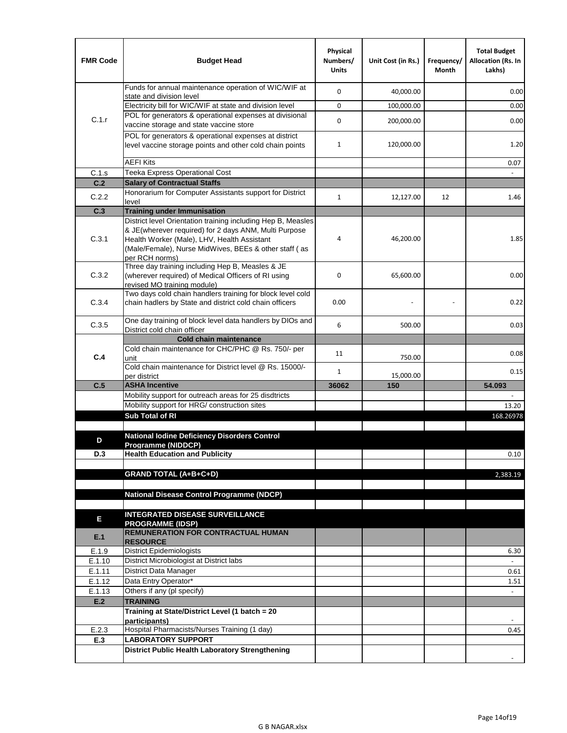| <b>FMR Code</b>  | <b>Budget Head</b>                                                                                                                                                              | Physical<br>Numbers/<br><b>Units</b> | Unit Cost (in Rs.) | Frequency/<br>Month | <b>Total Budget</b><br>Allocation (Rs. In<br>Lakhs) |
|------------------|---------------------------------------------------------------------------------------------------------------------------------------------------------------------------------|--------------------------------------|--------------------|---------------------|-----------------------------------------------------|
|                  | Funds for annual maintenance operation of WIC/WIF at<br>state and division level                                                                                                | 0                                    | 40,000.00          |                     | 0.00                                                |
|                  | Electricity bill for WIC/WIF at state and division level                                                                                                                        | 0                                    | 100,000.00         |                     | 0.00                                                |
| C.1.r            | POL for generators & operational expenses at divisional                                                                                                                         |                                      |                    |                     |                                                     |
|                  | vaccine storage and state vaccine store                                                                                                                                         | 0                                    | 200,000.00         |                     | 0.00                                                |
|                  | POL for generators & operational expenses at district<br>level vaccine storage points and other cold chain points                                                               | $\mathbf{1}$                         | 120,000.00         |                     | 1.20                                                |
|                  | <b>AEFI Kits</b>                                                                                                                                                                |                                      |                    |                     | 0.07                                                |
| C.1.s            | Teeka Express Operational Cost                                                                                                                                                  |                                      |                    |                     |                                                     |
| C.2              | <b>Salary of Contractual Staffs</b>                                                                                                                                             |                                      |                    |                     |                                                     |
| C.2.2            | Honorarium for Computer Assistants support for District                                                                                                                         | $\mathbf{1}$                         | 12,127.00          | 12                  | 1.46                                                |
| C.3              | level<br><b>Training under Immunisation</b>                                                                                                                                     |                                      |                    |                     |                                                     |
|                  | District level Orientation training including Hep B, Measles                                                                                                                    |                                      |                    |                     |                                                     |
| C.3.1            | & JE(wherever required) for 2 days ANM, Multi Purpose<br>Health Worker (Male), LHV, Health Assistant<br>(Male/Female), Nurse MidWives, BEEs & other staff (as<br>per RCH norms) | 4                                    | 46,200.00          |                     | 1.85                                                |
| C.3.2            | Three day training including Hep B, Measles & JE<br>(wherever required) of Medical Officers of RI using<br>revised MO training module)                                          | 0                                    | 65,600.00          |                     | 0.00                                                |
| C.3.4            | Two days cold chain handlers training for block level cold<br>chain hadlers by State and district cold chain officers                                                           | 0.00                                 |                    |                     | 0.22                                                |
| C.3.5            | One day training of block level data handlers by DIOs and<br>District cold chain officer                                                                                        | 6                                    | 500.00             |                     | 0.03                                                |
|                  | <b>Cold chain maintenance</b>                                                                                                                                                   |                                      |                    |                     |                                                     |
|                  | Cold chain maintenance for CHC/PHC @ Rs. 750/- per                                                                                                                              | 11                                   |                    |                     | 0.08                                                |
| C.4              | unit<br>Cold chain maintenance for District level @ Rs. 15000/-                                                                                                                 |                                      | 750.00             |                     |                                                     |
|                  | per district                                                                                                                                                                    | $\mathbf{1}$                         | 15,000.00          |                     | 0.15                                                |
| C.5              | <b>ASHA Incentive</b>                                                                                                                                                           | 36062                                | 150                |                     | 54.093                                              |
|                  | Mobility support for outreach areas for 25 disdtricts                                                                                                                           |                                      |                    |                     |                                                     |
|                  | Mobility support for HRG/ construction sites                                                                                                                                    |                                      |                    |                     | 13.20                                               |
|                  | Sub Total of RI                                                                                                                                                                 |                                      |                    |                     | 168.26978                                           |
| D                | <b>National lodine Deficiency Disorders Control</b>                                                                                                                             |                                      |                    |                     |                                                     |
| D.3              | Programme (NIDDCP)<br><b>Health Education and Publicity</b>                                                                                                                     |                                      |                    |                     | 0.10                                                |
|                  |                                                                                                                                                                                 |                                      |                    |                     |                                                     |
|                  | <b>GRAND TOTAL (A+B+C+D)</b>                                                                                                                                                    |                                      |                    |                     | 2,383.19                                            |
|                  |                                                                                                                                                                                 |                                      |                    |                     |                                                     |
|                  | National Disease Control Programme (NDCP)                                                                                                                                       |                                      |                    |                     |                                                     |
|                  |                                                                                                                                                                                 |                                      |                    |                     |                                                     |
| Е                | <b>INTEGRATED DISEASE SURVEILLANCE</b>                                                                                                                                          |                                      |                    |                     |                                                     |
| E.1              | <b>PROGRAMME (IDSP)</b><br><b>REMUNERATION FOR CONTRACTUAL HUMAN</b><br><b>RESOURCE</b>                                                                                         |                                      |                    |                     |                                                     |
| E.1.9            | District Epidemiologists                                                                                                                                                        |                                      |                    |                     | 6.30                                                |
| E.1.10           | District Microbiologist at District labs                                                                                                                                        |                                      |                    |                     |                                                     |
| E.1.11           | District Data Manager                                                                                                                                                           |                                      |                    |                     | 0.61                                                |
| E.1.12<br>E.1.13 | Data Entry Operator*<br>Others if any (pl specify)                                                                                                                              |                                      |                    |                     | 1.51<br>$\omega$                                    |
| E.2              | <b>TRAINING</b>                                                                                                                                                                 |                                      |                    |                     |                                                     |
|                  | Training at State/District Level (1 batch = 20                                                                                                                                  |                                      |                    |                     |                                                     |
|                  | participants)                                                                                                                                                                   |                                      |                    |                     |                                                     |
| E.2.3            | Hospital Pharmacists/Nurses Training (1 day)                                                                                                                                    |                                      |                    |                     | 0.45                                                |
| E.3              | <b>LABORATORY SUPPORT</b>                                                                                                                                                       |                                      |                    |                     |                                                     |
|                  | <b>District Public Health Laboratory Strengthening</b>                                                                                                                          |                                      |                    |                     |                                                     |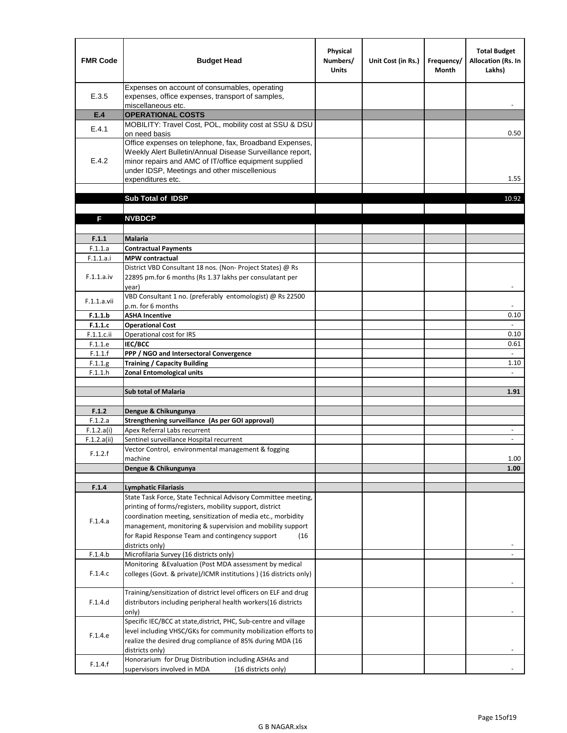| <b>FMR Code</b>           | <b>Budget Head</b>                                                                                                                                                                                                                                | Physical<br>Numbers/<br><b>Units</b> | Unit Cost (in Rs.) | Frequency/<br><b>Month</b> | <b>Total Budget</b><br><b>Allocation (Rs. In</b><br>Lakhs) |
|---------------------------|---------------------------------------------------------------------------------------------------------------------------------------------------------------------------------------------------------------------------------------------------|--------------------------------------|--------------------|----------------------------|------------------------------------------------------------|
| E.3.5                     | Expenses on account of consumables, operating<br>expenses, office expenses, transport of samples,<br>miscellaneous etc.                                                                                                                           |                                      |                    |                            |                                                            |
| E.4                       | <b>OPERATIONAL COSTS</b>                                                                                                                                                                                                                          |                                      |                    |                            |                                                            |
| E.4.1                     | MOBILITY: Travel Cost, POL, mobility cost at SSU & DSU<br>on need basis                                                                                                                                                                           |                                      |                    |                            | 0.50                                                       |
| E.4.2                     | Office expenses on telephone, fax, Broadband Expenses,<br>Weekly Alert Bulletin/Annual Disease Surveillance report,<br>minor repairs and AMC of IT/office equipment supplied<br>under IDSP, Meetings and other miscellenious<br>expenditures etc. |                                      |                    |                            | 1.55                                                       |
|                           | Sub Total of IDSP                                                                                                                                                                                                                                 |                                      |                    |                            | 10.92                                                      |
|                           |                                                                                                                                                                                                                                                   |                                      |                    |                            |                                                            |
| F                         | <b>NVBDCP</b>                                                                                                                                                                                                                                     |                                      |                    |                            |                                                            |
| F.1.1                     | <b>Malaria</b>                                                                                                                                                                                                                                    |                                      |                    |                            |                                                            |
| F.1.1.a                   | <b>Contractual Payments</b>                                                                                                                                                                                                                       |                                      |                    |                            |                                                            |
| F.1.1.a.i                 | <b>MPW</b> contractual                                                                                                                                                                                                                            |                                      |                    |                            |                                                            |
| F.1.1.a.iv                | District VBD Consultant 18 nos. (Non-Project States) @ Rs<br>22895 pm.for 6 months (Rs 1.37 lakhs per consulatant per<br>year)                                                                                                                    |                                      |                    |                            | $\overline{\phantom{a}}$                                   |
| F.1.1.a.vii               | VBD Consultant 1 no. (preferably entomologist) @ Rs 22500<br>p.m. for 6 months                                                                                                                                                                    |                                      |                    |                            |                                                            |
| F.1.1.b                   | <b>ASHA Incentive</b>                                                                                                                                                                                                                             |                                      |                    |                            | 0.10                                                       |
| F.1.1.c                   | <b>Operational Cost</b>                                                                                                                                                                                                                           |                                      |                    |                            | $\overline{\phantom{a}}$                                   |
| F.1.1.c.ii                | Operational cost for IRS                                                                                                                                                                                                                          |                                      |                    |                            | 0.10                                                       |
| F.1.1.e                   | <b>IEC/BCC</b>                                                                                                                                                                                                                                    |                                      |                    |                            | 0.61<br>$\omega$                                           |
| F.1.1.f<br>F.1.1.g        | PPP / NGO and Intersectoral Convergence<br><b>Training / Capacity Building</b>                                                                                                                                                                    |                                      |                    |                            | 1.10                                                       |
| F.1.1.h                   | <b>Zonal Entomological units</b>                                                                                                                                                                                                                  |                                      |                    |                            | $\blacksquare$                                             |
|                           |                                                                                                                                                                                                                                                   |                                      |                    |                            |                                                            |
|                           | <b>Sub total of Malaria</b>                                                                                                                                                                                                                       |                                      |                    |                            | 1.91                                                       |
|                           |                                                                                                                                                                                                                                                   |                                      |                    |                            |                                                            |
| F.1.2                     | Dengue & Chikungunya                                                                                                                                                                                                                              |                                      |                    |                            |                                                            |
| F.1.2.a                   | Strengthening surveillance (As per GOI approval)                                                                                                                                                                                                  |                                      |                    |                            |                                                            |
| F.1.2.a(i)<br>F.1.2.a(ii) | Apex Referral Labs recurrent<br>Sentinel surveillance Hospital recurrent                                                                                                                                                                          |                                      |                    |                            | $\overline{\phantom{a}}$<br>$\overline{\phantom{a}}$       |
|                           | Vector Control, environmental management & fogging                                                                                                                                                                                                |                                      |                    |                            |                                                            |
| F.1.2.f                   | machine                                                                                                                                                                                                                                           |                                      |                    |                            | 1.00                                                       |
|                           | Dengue & Chikungunya                                                                                                                                                                                                                              |                                      |                    |                            | 1.00                                                       |
|                           |                                                                                                                                                                                                                                                   |                                      |                    |                            |                                                            |
| F.1.4                     | Lymphatic Filariasis                                                                                                                                                                                                                              |                                      |                    |                            |                                                            |
|                           | State Task Force, State Technical Advisory Committee meeting,                                                                                                                                                                                     |                                      |                    |                            |                                                            |
|                           | printing of forms/registers, mobility support, district<br>coordination meeting, sensitization of media etc., morbidity                                                                                                                           |                                      |                    |                            |                                                            |
| F.1.4.a                   | management, monitoring & supervision and mobility support                                                                                                                                                                                         |                                      |                    |                            |                                                            |
|                           | for Rapid Response Team and contingency support<br>(16                                                                                                                                                                                            |                                      |                    |                            |                                                            |
|                           | districts only)                                                                                                                                                                                                                                   |                                      |                    |                            |                                                            |
| F.1.4.b                   | Microfilaria Survey (16 districts only)                                                                                                                                                                                                           |                                      |                    |                            |                                                            |
| F.1.4.c                   | Monitoring & Evaluation (Post MDA assessment by medical<br>colleges (Govt. & private)/ICMR institutions ) (16 districts only)                                                                                                                     |                                      |                    |                            |                                                            |
| F.1.4.d                   | Training/sensitization of district level officers on ELF and drug<br>distributors including peripheral health workers(16 districts                                                                                                                |                                      |                    |                            |                                                            |
|                           | only)                                                                                                                                                                                                                                             |                                      |                    |                            |                                                            |
| F.1.4.e                   | Specific IEC/BCC at state, district, PHC, Sub-centre and village<br>level including VHSC/GKs for community mobilization efforts to<br>realize the desired drug compliance of 85% during MDA (16                                                   |                                      |                    |                            |                                                            |
| F.1.4.f                   | districts only)<br>Honorarium for Drug Distribution including ASHAs and<br>supervisors involved in MDA<br>(16 districts only)                                                                                                                     |                                      |                    |                            |                                                            |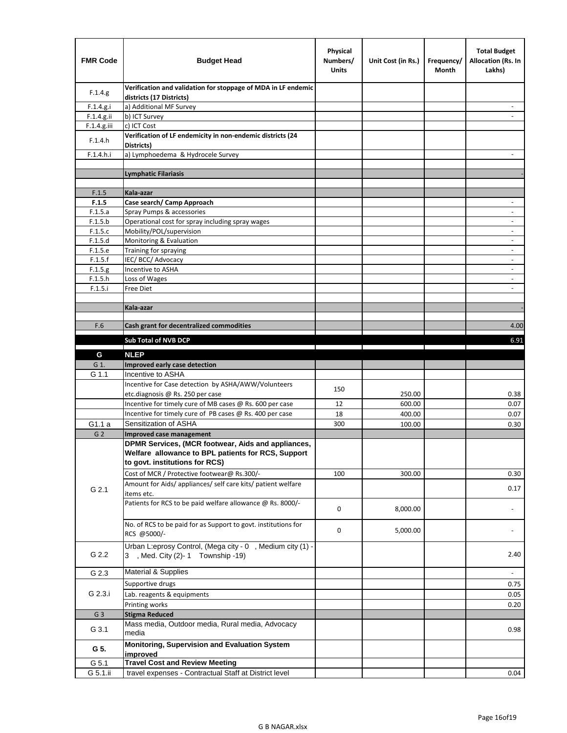| <b>FMR Code</b>    | <b>Budget Head</b>                                                                           | Physical<br>Numbers/<br><b>Units</b> | Unit Cost (in Rs.) | Frequency/<br>Month | <b>Total Budget</b><br><b>Allocation (Rs. In</b><br>Lakhs) |
|--------------------|----------------------------------------------------------------------------------------------|--------------------------------------|--------------------|---------------------|------------------------------------------------------------|
| F.1.4.g.           | Verification and validation for stoppage of MDA in LF endemic<br>districts (17 Districts)    |                                      |                    |                     |                                                            |
| F.1.4.g.i          | a) Additional MF Survey                                                                      |                                      |                    |                     |                                                            |
| F.1.4.g.ii         | b) ICT Survey                                                                                |                                      |                    |                     |                                                            |
| F.1.4.g.iii        | c) ICT Cost                                                                                  |                                      |                    |                     |                                                            |
| F.1.4.h            | Verification of LF endemicity in non-endemic districts (24<br>Districts)                     |                                      |                    |                     |                                                            |
| F.1.4.h.i          | a) Lymphoedema & Hydrocele Survey                                                            |                                      |                    |                     |                                                            |
|                    | <b>Lymphatic Filariasis</b>                                                                  |                                      |                    |                     |                                                            |
|                    |                                                                                              |                                      |                    |                     |                                                            |
| F.1.5              | Kala-azar                                                                                    |                                      |                    |                     |                                                            |
| F.1.5              | Case search/ Camp Approach                                                                   |                                      |                    |                     | $\overline{\phantom{a}}$                                   |
| F.1.5.a            | Spray Pumps & accessories                                                                    |                                      |                    |                     |                                                            |
| F.1.5.b            | Operational cost for spray including spray wages                                             |                                      |                    |                     |                                                            |
| F.1.5.c            | Mobility/POL/supervision                                                                     |                                      |                    |                     | $\overline{\phantom{a}}$                                   |
| F.1.5.d            | Monitoring & Evaluation                                                                      |                                      |                    |                     |                                                            |
| F.1.5.e            | Training for spraying                                                                        |                                      |                    |                     | $\overline{\phantom{a}}$                                   |
| F.1.5.f            | IEC/BCC/Advocacy<br>Incentive to ASHA                                                        |                                      |                    |                     | $\overline{\phantom{a}}$                                   |
| F.1.5.g<br>F.1.5.h | Loss of Wages                                                                                |                                      |                    |                     | $\overline{\phantom{a}}$                                   |
| F.1.5.i            | Free Diet                                                                                    |                                      |                    |                     |                                                            |
|                    |                                                                                              |                                      |                    |                     |                                                            |
|                    | Kala-azar                                                                                    |                                      |                    |                     |                                                            |
|                    |                                                                                              |                                      |                    |                     |                                                            |
| F.6                | Cash grant for decentralized commodities                                                     |                                      |                    |                     | 4.00                                                       |
|                    | <b>Sub Total of NVB DCP</b>                                                                  |                                      |                    |                     | 6.91                                                       |
|                    |                                                                                              |                                      |                    |                     |                                                            |
| G                  | <b>NLEP</b>                                                                                  |                                      |                    |                     |                                                            |
| G 1.               | Improved early case detection                                                                |                                      |                    |                     |                                                            |
| G 1.1              | Incentive to ASHA                                                                            |                                      |                    |                     |                                                            |
|                    | Incentive for Case detection by ASHA/AWW/Volunteers                                          | 150                                  |                    |                     |                                                            |
|                    | etc.diagnosis @ Rs. 250 per case<br>Incentive for timely cure of MB cases @ Rs. 600 per case | 12                                   | 250.00<br>600.00   |                     | 0.38<br>0.07                                               |
|                    | Incentive for timely cure of PB cases @ Rs. 400 per case                                     | 18                                   | 400.00             |                     | 0.07                                                       |
| G1.1 a             | Sensitization of ASHA                                                                        | 300                                  | 100.00             |                     | 0.30                                                       |
| G <sub>2</sub>     | Improved case management                                                                     |                                      |                    |                     |                                                            |
|                    | DPMR Services, (MCR footwear, Aids and appliances,                                           |                                      |                    |                     |                                                            |
|                    | Welfare allowance to BPL patients for RCS, Support                                           |                                      |                    |                     |                                                            |
|                    | to govt. institutions for RCS)                                                               |                                      |                    |                     |                                                            |
|                    | Cost of MCR / Protective footwear@ Rs.300/-                                                  | 100                                  | 300.00             |                     | 0.30                                                       |
| G 2.1              | Amount for Aids/ appliances/ self care kits/ patient welfare                                 |                                      |                    |                     | 0.17                                                       |
|                    | items etc.                                                                                   |                                      |                    |                     |                                                            |
|                    | Patients for RCS to be paid welfare allowance @ Rs. 8000/-                                   | 0                                    | 8,000.00           |                     |                                                            |
|                    |                                                                                              |                                      |                    |                     |                                                            |
|                    | No. of RCS to be paid for as Support to govt. institutions for                               | 0                                    | 5,000.00           |                     |                                                            |
|                    | RCS @5000/-                                                                                  |                                      |                    |                     |                                                            |
|                    | Urban L:eprosy Control, (Mega city - 0, Medium city (1) -                                    |                                      |                    |                     |                                                            |
| G 2.2              | 3 , Med. City (2)-1 Township -19)                                                            |                                      |                    |                     | 2.40                                                       |
|                    | <b>Material &amp; Supplies</b>                                                               |                                      |                    |                     |                                                            |
| G 2.3              |                                                                                              |                                      |                    |                     | $\overline{\phantom{a}}$                                   |
| G 2.3.i            | Supportive drugs                                                                             |                                      |                    |                     | 0.75                                                       |
|                    | Lab. reagents & equipments                                                                   |                                      |                    |                     | 0.05                                                       |
|                    | Printing works                                                                               |                                      |                    |                     | 0.20                                                       |
| G <sub>3</sub>     | <b>Stigma Reduced</b>                                                                        |                                      |                    |                     |                                                            |
| G 3.1              | Mass media, Outdoor media, Rural media, Advocacy<br>media                                    |                                      |                    |                     | 0.98                                                       |
|                    |                                                                                              |                                      |                    |                     |                                                            |
| G 5.               | Monitoring, Supervision and Evaluation System                                                |                                      |                    |                     |                                                            |
| G 5.1              | improved<br><b>Travel Cost and Review Meeting</b>                                            |                                      |                    |                     |                                                            |
| G 5.1.ii           | travel expenses - Contractual Staff at District level                                        |                                      |                    |                     | 0.04                                                       |
|                    |                                                                                              |                                      |                    |                     |                                                            |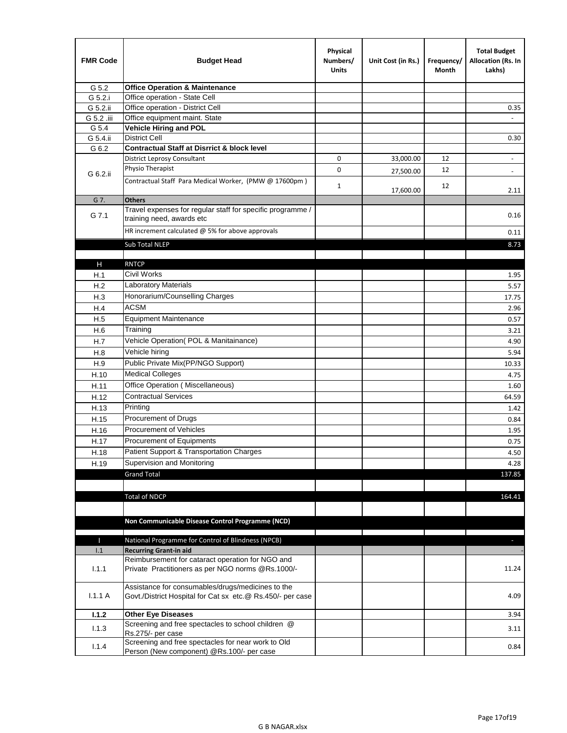| <b>FMR Code</b> | <b>Budget Head</b>                                                                                              | Physical<br>Numbers/<br><b>Units</b> | Unit Cost (in Rs.) | Frequency/<br>Month | <b>Total Budget</b><br>Allocation (Rs. In<br>Lakhs) |
|-----------------|-----------------------------------------------------------------------------------------------------------------|--------------------------------------|--------------------|---------------------|-----------------------------------------------------|
| G 5.2           | <b>Office Operation &amp; Maintenance</b>                                                                       |                                      |                    |                     |                                                     |
| G 5.2.i         | Office operation - State Cell                                                                                   |                                      |                    |                     |                                                     |
| G 5.2.ii        | Office operation - District Cell                                                                                |                                      |                    |                     | 0.35                                                |
| G 5.2 .iii      | Office equipment maint. State                                                                                   |                                      |                    |                     |                                                     |
| G 5.4           | <b>Vehicle Hiring and POL</b>                                                                                   |                                      |                    |                     |                                                     |
| G 5.4.ii        | <b>District Cell</b>                                                                                            |                                      |                    |                     | 0.30                                                |
| G 6.2           | <b>Contractual Staff at Disrrict &amp; block level</b>                                                          |                                      |                    |                     |                                                     |
|                 | <b>District Leprosy Consultant</b>                                                                              | 0                                    | 33,000.00          | 12                  |                                                     |
| G 6.2.ii        | Physio Therapist                                                                                                | 0                                    | 27,500.00          | 12                  | $\overline{\phantom{a}}$                            |
|                 | Contractual Staff Para Medical Worker, (PMW @ 17600pm)                                                          | $\mathbf{1}$                         | 17,600.00          | 12                  | 2.11                                                |
| G 7.            | <b>Others</b>                                                                                                   |                                      |                    |                     |                                                     |
| G 7.1           | Travel expenses for regular staff for specific programme /<br>training need, awards etc                         |                                      |                    |                     | 0.16                                                |
|                 | HR increment calculated $\omega$ 5% for above approvals                                                         |                                      |                    |                     | 0.11                                                |
|                 | Sub Total NLEP                                                                                                  |                                      |                    |                     | 8.73                                                |
|                 |                                                                                                                 |                                      |                    |                     |                                                     |
| Н               | <b>RNTCP</b>                                                                                                    |                                      |                    |                     |                                                     |
| H.1             | Civil Works                                                                                                     |                                      |                    |                     | 1.95                                                |
| H.2             | Laboratory Materials                                                                                            |                                      |                    |                     | 5.57                                                |
| H.3             | Honorarium/Counselling Charges                                                                                  |                                      |                    |                     | 17.75                                               |
| H.4             | <b>ACSM</b>                                                                                                     |                                      |                    |                     | 2.96                                                |
| H.5             | <b>Equipment Maintenance</b>                                                                                    |                                      |                    |                     | 0.57                                                |
| H.6             | Training                                                                                                        |                                      |                    |                     | 3.21                                                |
| H.7             | Vehicle Operation(POL & Manitainance)                                                                           |                                      |                    |                     | 4.90                                                |
| H.8             | Vehicle hiring                                                                                                  |                                      |                    |                     | 5.94                                                |
| H.9             | Public Private Mix(PP/NGO Support)                                                                              |                                      |                    |                     | 10.33                                               |
| H.10            | <b>Medical Colleges</b>                                                                                         |                                      |                    |                     | 4.75                                                |
| H.11            | Office Operation (Miscellaneous)                                                                                |                                      |                    |                     | 1.60                                                |
| H.12            | <b>Contractual Services</b>                                                                                     |                                      |                    |                     | 64.59                                               |
| H.13            | Printing                                                                                                        |                                      |                    |                     | 1.42                                                |
| H.15            | Procurement of Drugs                                                                                            |                                      |                    |                     | 0.84                                                |
| H.16            | Procurement of Vehicles                                                                                         |                                      |                    |                     | 1.95                                                |
| H.17            | <b>Procurement of Equipments</b>                                                                                |                                      |                    |                     | 0.75                                                |
| H.18            | Patient Support & Transportation Charges                                                                        |                                      |                    |                     | 4.50                                                |
| H.19            | Supervision and Monitoring                                                                                      |                                      |                    |                     | 4.28                                                |
|                 | <b>Grand Total</b>                                                                                              |                                      |                    |                     | 137.85                                              |
|                 |                                                                                                                 |                                      |                    |                     |                                                     |
|                 | <b>Total of NDCP</b>                                                                                            |                                      |                    |                     | 164.41                                              |
|                 |                                                                                                                 |                                      |                    |                     |                                                     |
|                 |                                                                                                                 |                                      |                    |                     |                                                     |
|                 | Non Communicable Disease Control Programme (NCD)                                                                |                                      |                    |                     |                                                     |
| Т               | National Programme for Control of Blindness (NPCB)                                                              |                                      |                    |                     | ÷.                                                  |
| 1.1             | <b>Recurring Grant-in aid</b>                                                                                   |                                      |                    |                     |                                                     |
|                 | Reimbursement for cataract operation for NGO and                                                                |                                      |                    |                     |                                                     |
| 1.1.1           | Private Practitioners as per NGO norms @Rs.1000/-                                                               |                                      |                    |                     | 11.24                                               |
| 1.1.1A          | Assistance for consumables/drugs/medicines to the<br>Govt./District Hospital for Cat sx etc.@ Rs.450/- per case |                                      |                    |                     | 4.09                                                |
| 1.1.2           | <b>Other Eye Diseases</b>                                                                                       |                                      |                    |                     | 3.94                                                |
|                 | Screening and free spectacles to school children @                                                              |                                      |                    |                     |                                                     |
| 1.1.3           | Rs.275/- per case                                                                                               |                                      |                    |                     | 3.11                                                |
| 1.1.4           | Screening and free spectacles for near work to Old                                                              |                                      |                    |                     | 0.84                                                |
|                 | Person (New component) @Rs.100/- per case                                                                       |                                      |                    |                     |                                                     |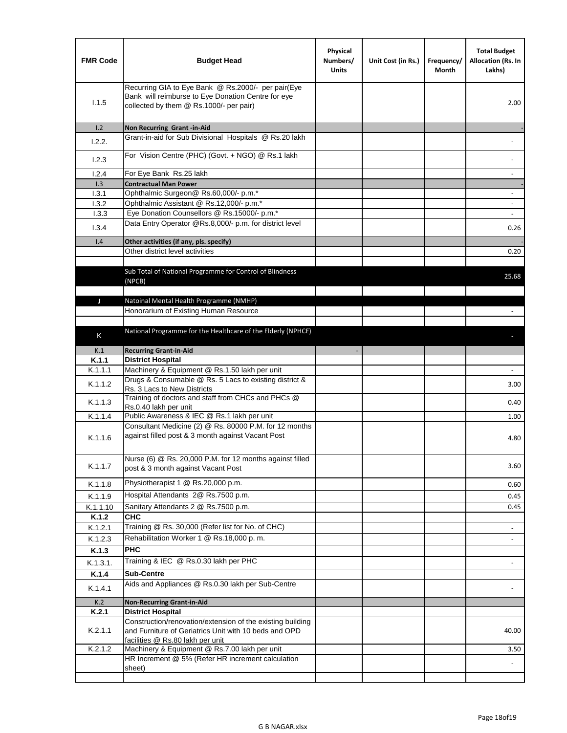| <b>FMR Code</b> | <b>Budget Head</b>                                                                                                                                      | Physical<br>Numbers/<br><b>Units</b> | Unit Cost (in Rs.) | Frequency/<br>Month | <b>Total Budget</b><br>Allocation (Rs. In<br>Lakhs) |
|-----------------|---------------------------------------------------------------------------------------------------------------------------------------------------------|--------------------------------------|--------------------|---------------------|-----------------------------------------------------|
| 1.1.5           | Recurring GIA to Eye Bank @ Rs.2000/- per pair(Eye<br>Bank will reimburse to Eye Donation Centre for eye<br>collected by them @ Rs.1000/- per pair)     |                                      |                    |                     | 2.00                                                |
| 1.2             | Non Recurring Grant -in-Aid                                                                                                                             |                                      |                    |                     |                                                     |
| 1.2.2.          | Grant-in-aid for Sub Divisional Hospitals @ Rs.20 lakh                                                                                                  |                                      |                    |                     |                                                     |
| 1.2.3           | For Vision Centre (PHC) (Govt. + NGO) @ Rs.1 lakh                                                                                                       |                                      |                    |                     |                                                     |
| 1.2.4           | For Eye Bank Rs.25 lakh                                                                                                                                 |                                      |                    |                     |                                                     |
| 1.3             | <b>Contractual Man Power</b>                                                                                                                            |                                      |                    |                     |                                                     |
| 1.3.1           | Ophthalmic Surgeon@ Rs.60,000/- p.m.*                                                                                                                   |                                      |                    |                     |                                                     |
| 1.3.2<br>1.3.3  | Ophthalmic Assistant @ Rs.12,000/- p.m.*<br>Eye Donation Counsellors @ Rs.15000/- p.m.*                                                                 |                                      |                    |                     | $\overline{\phantom{a}}$                            |
|                 | Data Entry Operator @Rs.8,000/- p.m. for district level                                                                                                 |                                      |                    |                     |                                                     |
| 1.3.4           |                                                                                                                                                         |                                      |                    |                     | 0.26                                                |
| 1.4             | Other activities (if any, pls. specify)                                                                                                                 |                                      |                    |                     |                                                     |
|                 | Other district level activities                                                                                                                         |                                      |                    |                     | 0.20                                                |
|                 | Sub Total of National Programme for Control of Blindness<br>(NPCB)                                                                                      |                                      |                    |                     | 25.68                                               |
| J               | Natoinal Mental Health Programme (NMHP)                                                                                                                 |                                      |                    |                     |                                                     |
|                 | Honorarium of Existing Human Resource                                                                                                                   |                                      |                    |                     |                                                     |
|                 |                                                                                                                                                         |                                      |                    |                     |                                                     |
| K               | National Programme for the Healthcare of the Elderly (NPHCE)                                                                                            |                                      |                    |                     |                                                     |
|                 |                                                                                                                                                         |                                      |                    |                     |                                                     |
| K.1             | <b>Recurring Grant-in-Aid</b>                                                                                                                           |                                      |                    |                     |                                                     |
| K.1.1           | <b>District Hospital</b><br>Machinery & Equipment @ Rs.1.50 lakh per unit                                                                               |                                      |                    |                     |                                                     |
| K.1.1.1         | Drugs & Consumable @ Rs. 5 Lacs to existing district &                                                                                                  |                                      |                    |                     |                                                     |
| K.1.1.2         | Rs. 3 Lacs to New Districts                                                                                                                             |                                      |                    |                     | 3.00                                                |
| K.1.1.3         | Training of doctors and staff from CHCs and PHCs @<br>Rs.0.40 lakh per unit                                                                             |                                      |                    |                     | 0.40                                                |
| K.1.1.4         | Public Awareness & IEC @ Rs.1 lakh per unit                                                                                                             |                                      |                    |                     | 1.00                                                |
| K.1.1.6         | Consultant Medicine (2) @ Rs. 80000 P.M. for 12 months<br>against filled post & 3 month against Vacant Post                                             |                                      |                    |                     | 4.80                                                |
| K.1.1.7         | Nurse (6) @ Rs. 20,000 P.M. for 12 months against filled<br>post & 3 month against Vacant Post                                                          |                                      |                    |                     | 3.60                                                |
| K.1.1.8         | Physiotherapist 1 @ Rs.20,000 p.m.                                                                                                                      |                                      |                    |                     | 0.60                                                |
| K.1.1.9         | Hospital Attendants 2@ Rs.7500 p.m.                                                                                                                     |                                      |                    |                     | 0.45                                                |
| K.1.1.10        | Sanitary Attendants 2 @ Rs.7500 p.m.                                                                                                                    |                                      |                    |                     | 0.45                                                |
| K.1.2           | <b>CHC</b>                                                                                                                                              |                                      |                    |                     |                                                     |
| K.1.2.1         | Training @ Rs. 30,000 (Refer list for No. of CHC)                                                                                                       |                                      |                    |                     |                                                     |
| K.1.2.3         | Rehabilitation Worker 1 @ Rs.18,000 p.m.                                                                                                                |                                      |                    |                     |                                                     |
| K.1.3           | <b>PHC</b>                                                                                                                                              |                                      |                    |                     |                                                     |
| K.1.3.1.        | Training & IEC @ Rs.0.30 lakh per PHC                                                                                                                   |                                      |                    |                     |                                                     |
| K.1.4           | <b>Sub-Centre</b>                                                                                                                                       |                                      |                    |                     |                                                     |
| K.1.4.1         | Aids and Appliances @ Rs.0.30 lakh per Sub-Centre                                                                                                       |                                      |                    |                     |                                                     |
| K.2             | <b>Non-Recurring Grant-in-Aid</b>                                                                                                                       |                                      |                    |                     |                                                     |
| K.2.1           | <b>District Hospital</b>                                                                                                                                |                                      |                    |                     |                                                     |
| K.2.1.1         | Construction/renovation/extension of the existing building<br>and Furniture of Geriatrics Unit with 10 beds and OPD<br>facilities @ Rs.80 lakh per unit |                                      |                    |                     | 40.00                                               |
| K.2.1.2         | Machinery & Equipment @ Rs.7.00 lakh per unit                                                                                                           |                                      |                    |                     | 3.50                                                |
|                 | HR Increment @ 5% (Refer HR increment calculation                                                                                                       |                                      |                    |                     |                                                     |
|                 | sheet)                                                                                                                                                  |                                      |                    |                     |                                                     |